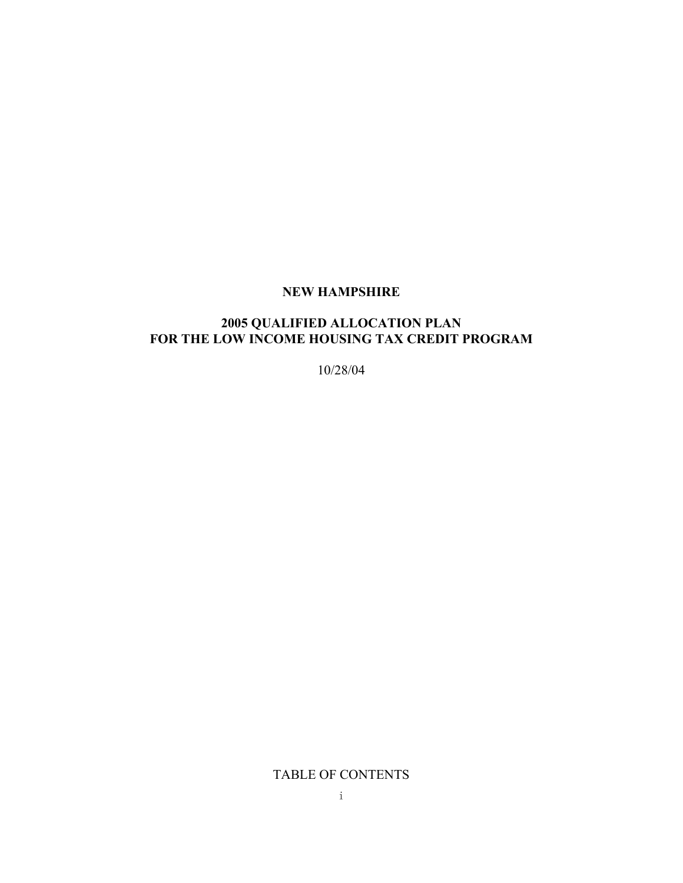#### **NEW HAMPSHIRE**

## **2005 QUALIFIED ALLOCATION PLAN FOR THE LOW INCOME HOUSING TAX CREDIT PROGRAM**

10/28/04

TABLE OF CONTENTS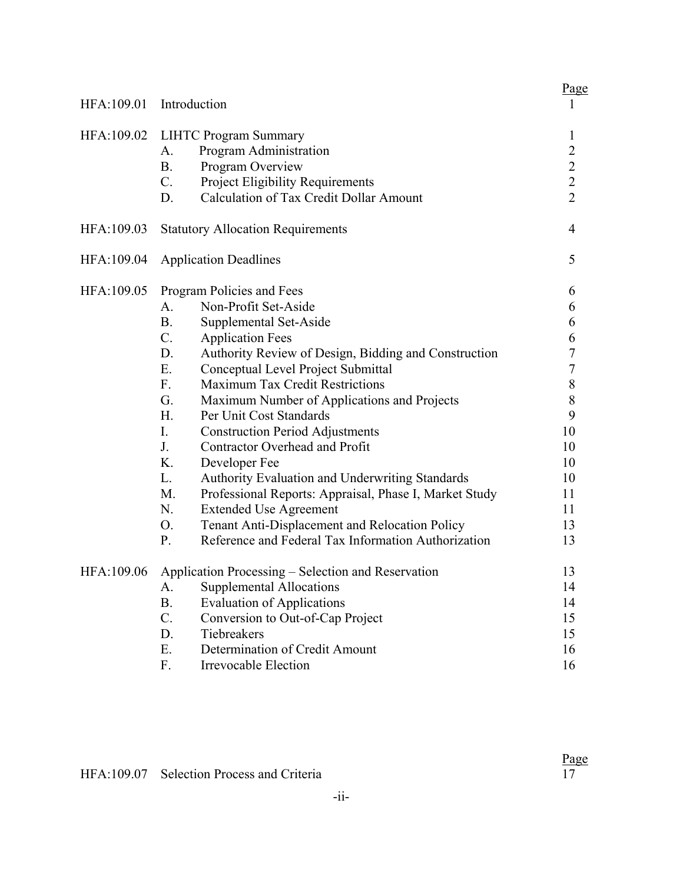|            |                                                                         | Page                                       |
|------------|-------------------------------------------------------------------------|--------------------------------------------|
| HFA:109.01 | Introduction                                                            | $\bf{l}$                                   |
| HFA:109.02 | <b>LIHTC Program Summary</b>                                            | 1                                          |
|            | Program Administration<br>А.                                            |                                            |
|            | <b>B.</b><br>Program Overview                                           | $\begin{array}{c} 2 \\ 2 \\ 2 \end{array}$ |
|            | $C_{\cdot}$<br>Project Eligibility Requirements                         |                                            |
|            | Calculation of Tax Credit Dollar Amount<br>D.                           |                                            |
| HFA:109.03 | <b>Statutory Allocation Requirements</b>                                | $\overline{4}$                             |
| HFA:109.04 | <b>Application Deadlines</b>                                            | 5                                          |
| HFA:109.05 | Program Policies and Fees                                               | 6                                          |
|            | Non-Profit Set-Aside<br>A.                                              | 6                                          |
|            | <b>B.</b><br>Supplemental Set-Aside                                     | 6                                          |
|            | $C_{\cdot}$<br><b>Application Fees</b>                                  | 6                                          |
|            | D.<br>Authority Review of Design, Bidding and Construction              | $\overline{7}$                             |
|            | Ε.<br>Conceptual Level Project Submittal                                | $\overline{7}$                             |
|            | F.<br><b>Maximum Tax Credit Restrictions</b>                            | 8                                          |
|            | G.<br>Maximum Number of Applications and Projects                       | $\,$ $\,$                                  |
|            | H <sub>1</sub><br>Per Unit Cost Standards                               | 9                                          |
|            | I.<br><b>Construction Period Adjustments</b>                            | 10                                         |
|            | J.<br>Contractor Overhead and Profit                                    | 10                                         |
|            | K.<br>Developer Fee                                                     | 10                                         |
|            | Authority Evaluation and Underwriting Standards<br>L.                   | 10                                         |
|            | M.<br>Professional Reports: Appraisal, Phase I, Market Study            | 11                                         |
|            | N.<br><b>Extended Use Agreement</b>                                     | 11                                         |
|            | O <sub>r</sub><br><b>Tenant Anti-Displacement and Relocation Policy</b> | 13                                         |
|            | Reference and Federal Tax Information Authorization<br>P.               | 13                                         |
| HFA:109.06 | Application Processing – Selection and Reservation                      | 13                                         |
|            | <b>Supplemental Allocations</b><br>A.                                   | 14                                         |
|            | <b>B.</b><br><b>Evaluation of Applications</b>                          | 14                                         |
|            | $C$ .<br>Conversion to Out-of-Cap Project                               | 15                                         |
|            | D.<br>Tiebreakers                                                       | 15                                         |
|            | Ε.<br>Determination of Credit Amount                                    | 16                                         |
|            | F.<br>Irrevocable Election                                              | 16                                         |
|            |                                                                         |                                            |

 $\frac{\text{Page}}{17}$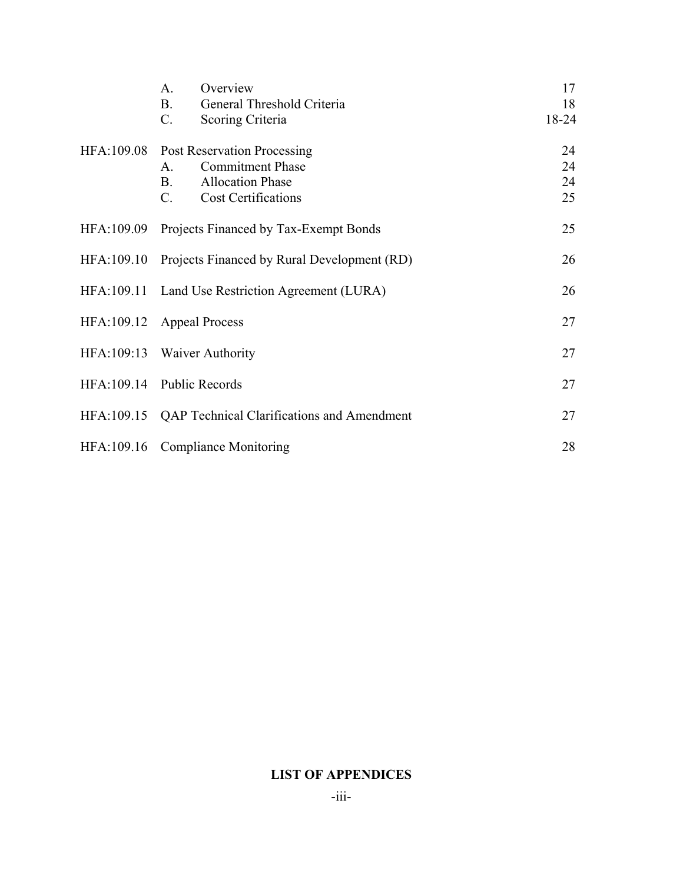|            | A.<br>Overview                                    | 17    |
|------------|---------------------------------------------------|-------|
|            | <b>B.</b><br>General Threshold Criteria           | 18    |
|            | $C$ .<br>Scoring Criteria                         | 18-24 |
| HFA:109.08 | <b>Post Reservation Processing</b>                | 24    |
|            | <b>Commitment Phase</b><br>$A_{\cdot}$            | 24    |
|            | <b>Allocation Phase</b><br><b>B</b> .             | 24    |
|            | <b>Cost Certifications</b><br>C.                  | 25    |
| HFA:109.09 | Projects Financed by Tax-Exempt Bonds             | 25    |
| HFA:109.10 | Projects Financed by Rural Development (RD)       | 26    |
|            |                                                   |       |
| HFA:109.11 | Land Use Restriction Agreement (LURA)             | 26    |
|            |                                                   |       |
| HFA:109.12 | <b>Appeal Process</b>                             | 27    |
|            | HFA:109:13 Waiver Authority                       | 27    |
|            |                                                   |       |
|            | HFA:109.14 Public Records                         | 27    |
| HFA:109.15 | <b>QAP Technical Clarifications and Amendment</b> | 27    |
|            |                                                   |       |
| HFA:109.16 | <b>Compliance Monitoring</b>                      | 28    |

## **LIST OF APPENDICES**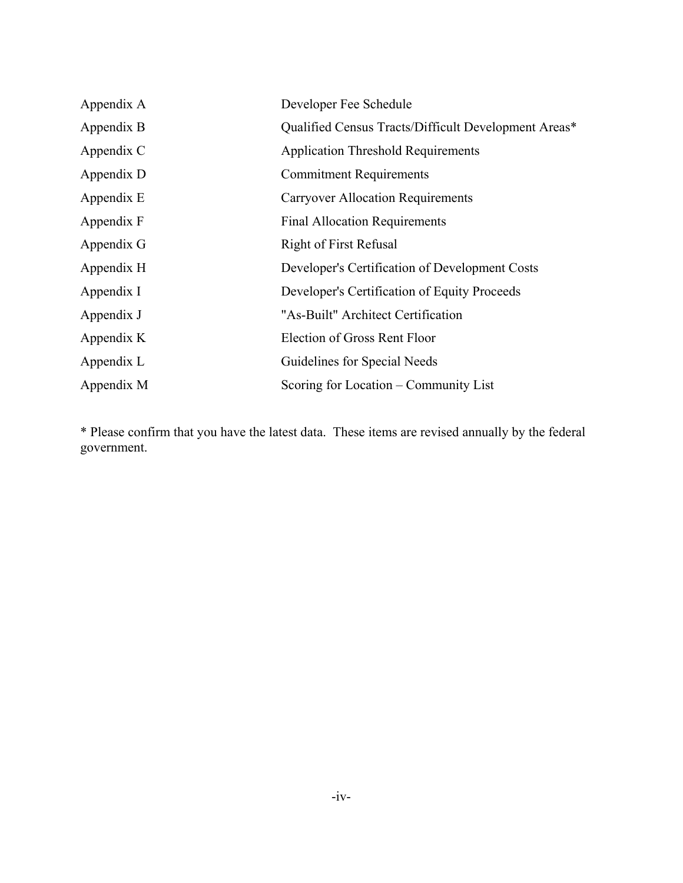| Appendix A | Developer Fee Schedule                               |
|------------|------------------------------------------------------|
| Appendix B | Qualified Census Tracts/Difficult Development Areas* |
| Appendix C | <b>Application Threshold Requirements</b>            |
| Appendix D | <b>Commitment Requirements</b>                       |
| Appendix E | <b>Carryover Allocation Requirements</b>             |
| Appendix F | <b>Final Allocation Requirements</b>                 |
| Appendix G | <b>Right of First Refusal</b>                        |
| Appendix H | Developer's Certification of Development Costs       |
| Appendix I | Developer's Certification of Equity Proceeds         |
| Appendix J | "As-Built" Architect Certification                   |
| Appendix K | Election of Gross Rent Floor                         |
| Appendix L | Guidelines for Special Needs                         |
| Appendix M | Scoring for Location – Community List                |

\* Please confirm that you have the latest data. These items are revised annually by the federal government.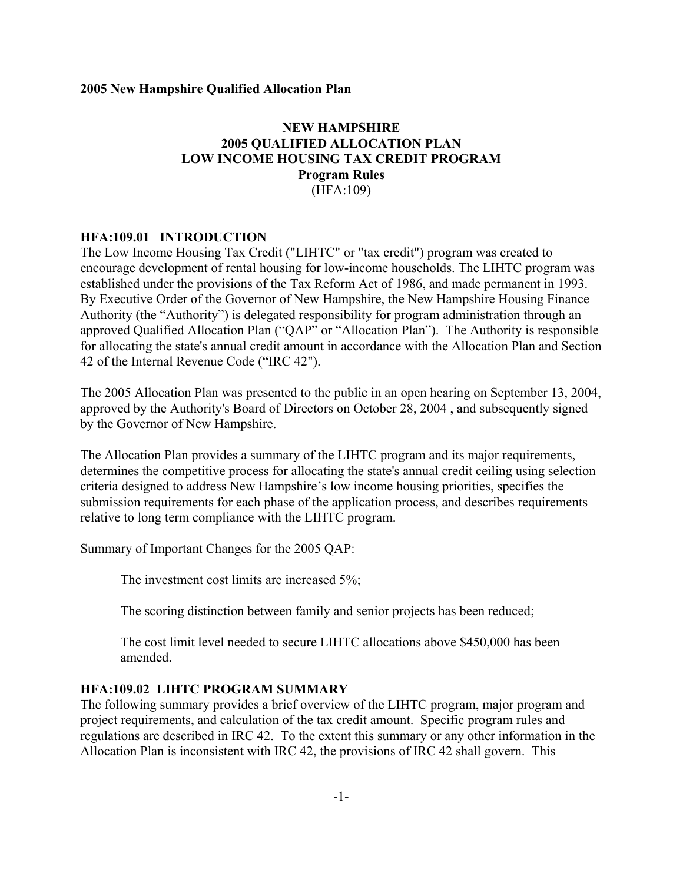#### **NEW HAMPSHIRE 2005 QUALIFIED ALLOCATION PLAN LOW INCOME HOUSING TAX CREDIT PROGRAM Program Rules** (HFA:109)

#### **HFA:109.01 INTRODUCTION**

The Low Income Housing Tax Credit ("LIHTC" or "tax credit") program was created to encourage development of rental housing for low-income households. The LIHTC program was established under the provisions of the Tax Reform Act of 1986, and made permanent in 1993. By Executive Order of the Governor of New Hampshire, the New Hampshire Housing Finance Authority (the "Authority") is delegated responsibility for program administration through an approved Qualified Allocation Plan ("QAP" or "Allocation Plan"). The Authority is responsible for allocating the state's annual credit amount in accordance with the Allocation Plan and Section 42 of the Internal Revenue Code ("IRC 42").

The 2005 Allocation Plan was presented to the public in an open hearing on September 13, 2004, approved by the Authority's Board of Directors on October 28, 2004 , and subsequently signed by the Governor of New Hampshire.

The Allocation Plan provides a summary of the LIHTC program and its major requirements, determines the competitive process for allocating the state's annual credit ceiling using selection criteria designed to address New Hampshire's low income housing priorities, specifies the submission requirements for each phase of the application process, and describes requirements relative to long term compliance with the LIHTC program.

#### Summary of Important Changes for the 2005 QAP:

The investment cost limits are increased 5%;

The scoring distinction between family and senior projects has been reduced;

The cost limit level needed to secure LIHTC allocations above \$450,000 has been amended.

#### **HFA:109.02 LIHTC PROGRAM SUMMARY**

The following summary provides a brief overview of the LIHTC program, major program and project requirements, and calculation of the tax credit amount. Specific program rules and regulations are described in IRC 42. To the extent this summary or any other information in the Allocation Plan is inconsistent with IRC 42, the provisions of IRC 42 shall govern. This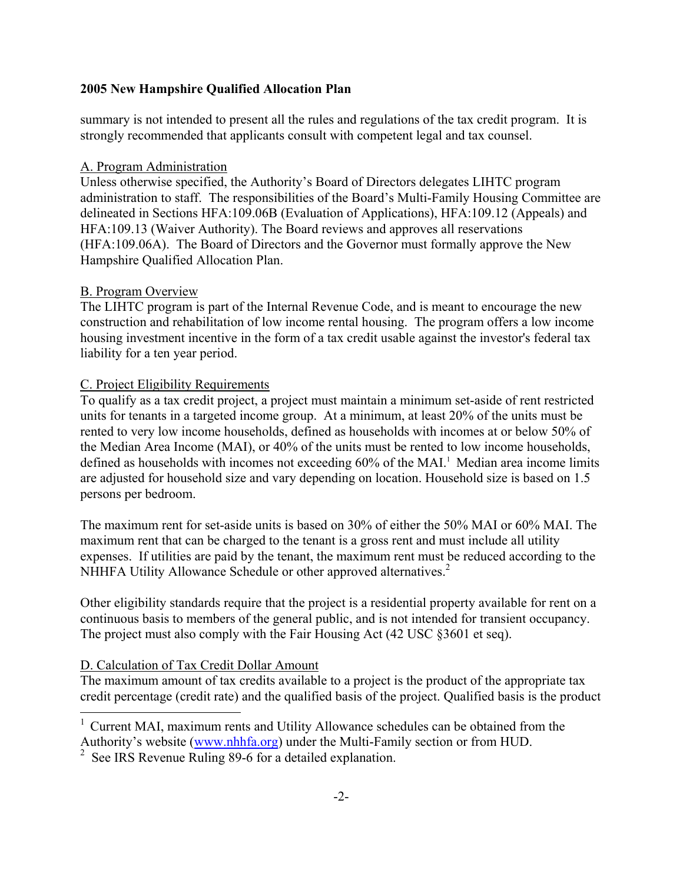summary is not intended to present all the rules and regulations of the tax credit program. It is strongly recommended that applicants consult with competent legal and tax counsel.

#### A. Program Administration

Unless otherwise specified, the Authority's Board of Directors delegates LIHTC program administration to staff. The responsibilities of the Board's Multi-Family Housing Committee are delineated in Sections HFA:109.06B (Evaluation of Applications), HFA:109.12 (Appeals) and HFA:109.13 (Waiver Authority). The Board reviews and approves all reservations (HFA:109.06A). The Board of Directors and the Governor must formally approve the New Hampshire Qualified Allocation Plan.

#### B. Program Overview

The LIHTC program is part of the Internal Revenue Code, and is meant to encourage the new construction and rehabilitation of low income rental housing. The program offers a low income housing investment incentive in the form of a tax credit usable against the investor's federal tax liability for a ten year period.

#### C. Project Eligibility Requirements

To qualify as a tax credit project, a project must maintain a minimum set-aside of rent restricted units for tenants in a targeted income group. At a minimum, at least 20% of the units must be rented to very low income households, defined as households with incomes at or below 50% of the Median Area Income (MAI), or 40% of the units must be rented to low income households, defined as households with incomes not exceeding 60% of the MAI.<sup>1</sup> Median area income limits are adjusted for household size and vary depending on location. Household size is based on 1.5 persons per bedroom.

The maximum rent for set-aside units is based on 30% of either the 50% MAI or 60% MAI. The maximum rent that can be charged to the tenant is a gross rent and must include all utility expenses. If utilities are paid by the tenant, the maximum rent must be reduced according to the NHHFA Utility Allowance Schedule or other approved alternatives.<sup>[2](#page-5-1)</sup>

Other eligibility standards require that the project is a residential property available for rent on a continuous basis to members of the general public, and is not intended for transient occupancy. The project must also comply with the Fair Housing Act (42 USC §3601 et seq).

#### D. Calculation of Tax Credit Dollar Amount

i.

The maximum amount of tax credits available to a project is the product of the appropriate tax credit percentage (credit rate) and the qualified basis of the project. Qualified basis is the product

<span id="page-5-0"></span><sup>1</sup> Current MAI, maximum rents and Utility Allowance schedules can be obtained from the Authority's website [\(www.nhhfa.org](http://www.nhhfa.org/)) under the Multi-Family section or from HUD.

<span id="page-5-1"></span><sup>&</sup>lt;sup>2</sup> See IRS Revenue Ruling 89-6 for a detailed explanation.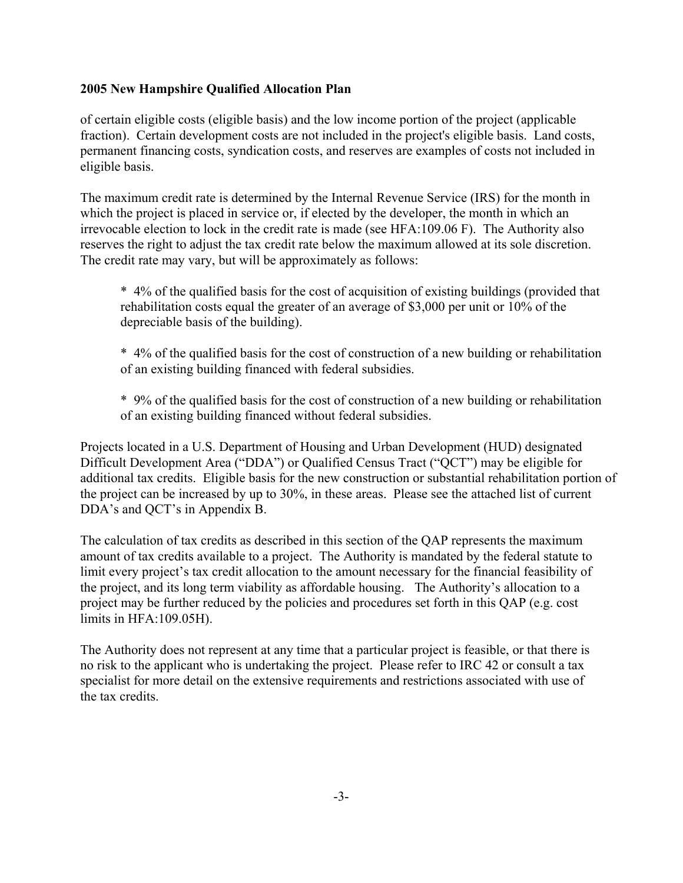of certain eligible costs (eligible basis) and the low income portion of the project (applicable fraction). Certain development costs are not included in the project's eligible basis. Land costs, permanent financing costs, syndication costs, and reserves are examples of costs not included in eligible basis.

The maximum credit rate is determined by the Internal Revenue Service (IRS) for the month in which the project is placed in service or, if elected by the developer, the month in which an irrevocable election to lock in the credit rate is made (see HFA:109.06 F). The Authority also reserves the right to adjust the tax credit rate below the maximum allowed at its sole discretion. The credit rate may vary, but will be approximately as follows:

\* 4% of the qualified basis for the cost of acquisition of existing buildings (provided that rehabilitation costs equal the greater of an average of \$3,000 per unit or 10% of the depreciable basis of the building).

\* 4% of the qualified basis for the cost of construction of a new building or rehabilitation of an existing building financed with federal subsidies.

\* 9% of the qualified basis for the cost of construction of a new building or rehabilitation of an existing building financed without federal subsidies.

Projects located in a U.S. Department of Housing and Urban Development (HUD) designated Difficult Development Area ("DDA") or Qualified Census Tract ("QCT") may be eligible for additional tax credits. Eligible basis for the new construction or substantial rehabilitation portion of the project can be increased by up to 30%, in these areas. Please see the attached list of current DDA's and QCT's in Appendix B.

The calculation of tax credits as described in this section of the QAP represents the maximum amount of tax credits available to a project. The Authority is mandated by the federal statute to limit every project's tax credit allocation to the amount necessary for the financial feasibility of the project, and its long term viability as affordable housing. The Authority's allocation to a project may be further reduced by the policies and procedures set forth in this QAP (e.g. cost limits in HFA:109.05H).

The Authority does not represent at any time that a particular project is feasible, or that there is no risk to the applicant who is undertaking the project. Please refer to IRC 42 or consult a tax specialist for more detail on the extensive requirements and restrictions associated with use of the tax credits.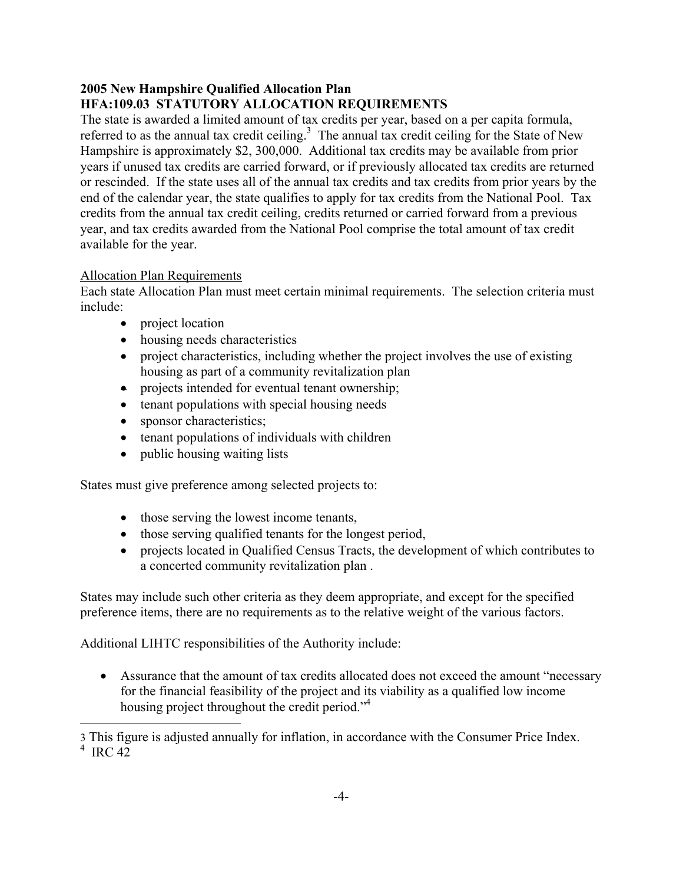## **2005 New Hampshire Qualified Allocation Plan HFA:109.03 STATUTORY ALLOCATION REQUIREMENTS**

The state is awarded a limited amount of tax credits per year, based on a per capita formula, referred to as the annual tax credit ceiling. $3$  The annual tax credit ceiling for the State of New Hampshire is approximately \$2, 300,000. Additional tax credits may be available from prior years if unused tax credits are carried forward, or if previously allocated tax credits are returned or rescinded. If the state uses all of the annual tax credits and tax credits from prior years by the end of the calendar year, the state qualifies to apply for tax credits from the National Pool. Tax credits from the annual tax credit ceiling, credits returned or carried forward from a previous year, and tax credits awarded from the National Pool comprise the total amount of tax credit available for the year.

## Allocation Plan Requirements

j.

Each state Allocation Plan must meet certain minimal requirements. The selection criteria must include:

- project location
- housing needs characteristics
- project characteristics, including whether the project involves the use of existing housing as part of a community revitalization plan
- projects intended for eventual tenant ownership;
- tenant populations with special housing needs
- sponsor characteristics;
- tenant populations of individuals with children
- public housing waiting lists

States must give preference among selected projects to:

- those serving the lowest income tenants,
- those serving qualified tenants for the longest period,
- projects located in Qualified Census Tracts, the development of which contributes to a concerted community revitalization plan .

States may include such other criteria as they deem appropriate, and except for the specified preference items, there are no requirements as to the relative weight of the various factors.

Additional LIHTC responsibilities of the Authority include:

• Assurance that the amount of tax credits allocated does not exceed the amount "necessary" for the financial feasibility of the project and its viability as a qualified low income housing project throughout the credit period."<sup>4</sup>

<span id="page-7-1"></span><span id="page-7-0"></span><sup>3</sup> This figure is adjusted annually for inflation, in accordance with the Consumer Price Index.  $4 \text{ IRC } 42$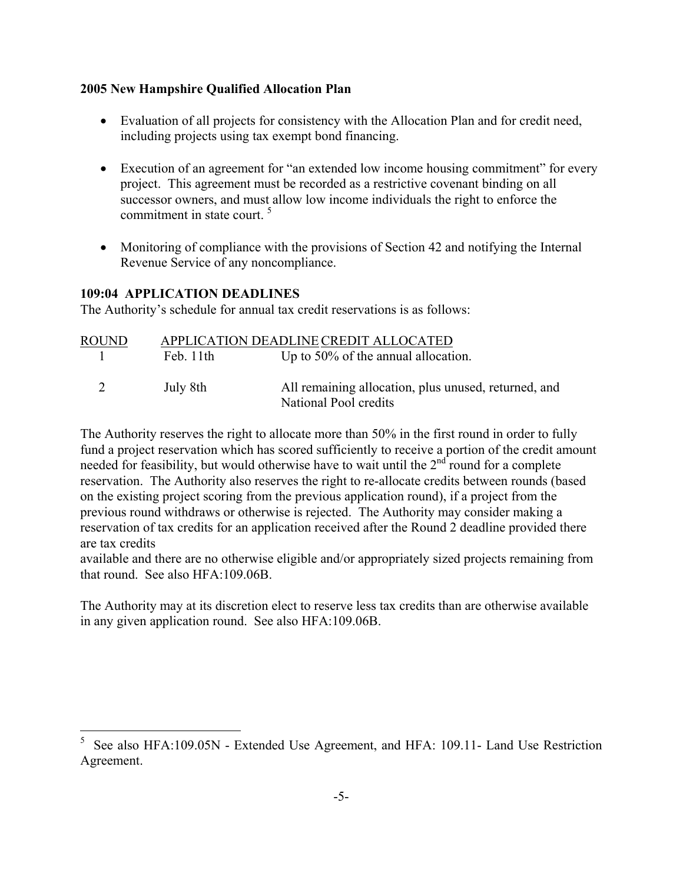- Evaluation of all projects for consistency with the Allocation Plan and for credit need, including projects using tax exempt bond financing.
- Execution of an agreement for "an extended low income housing commitment" for every project. This agreement must be recorded as a restrictive covenant binding on all successor owners, and must allow low income individuals the right to enforce the commitment in state court.<sup>[5](#page-8-0)</sup>
- Monitoring of compliance with the provisions of Section 42 and notifying the Internal Revenue Service of any noncompliance.

#### **109:04 APPLICATION DEADLINES**

i.

The Authority's schedule for annual tax credit reservations is as follows:

| <b>ROUND</b> |          | APPLICATION DEADLINE CREDIT ALLOCATED                                         |
|--------------|----------|-------------------------------------------------------------------------------|
| $\mathbf{L}$ | Feb 11th | Up to $50\%$ of the annual allocation.                                        |
| 2            | July 8th | All remaining allocation, plus unused, returned, and<br>National Pool credits |

The Authority reserves the right to allocate more than 50% in the first round in order to fully fund a project reservation which has scored sufficiently to receive a portion of the credit amount needed for feasibility, but would otherwise have to wait until the  $2<sup>nd</sup>$  round for a complete reservation. The Authority also reserves the right to re-allocate credits between rounds (based on the existing project scoring from the previous application round), if a project from the previous round withdraws or otherwise is rejected. The Authority may consider making a reservation of tax credits for an application received after the Round 2 deadline provided there are tax credits

available and there are no otherwise eligible and/or appropriately sized projects remaining from that round. See also HFA:109.06B.

The Authority may at its discretion elect to reserve less tax credits than are otherwise available in any given application round. See also HFA:109.06B.

<span id="page-8-0"></span><sup>5</sup> See also HFA:109.05N - Extended Use Agreement, and HFA: 109.11- Land Use Restriction Agreement.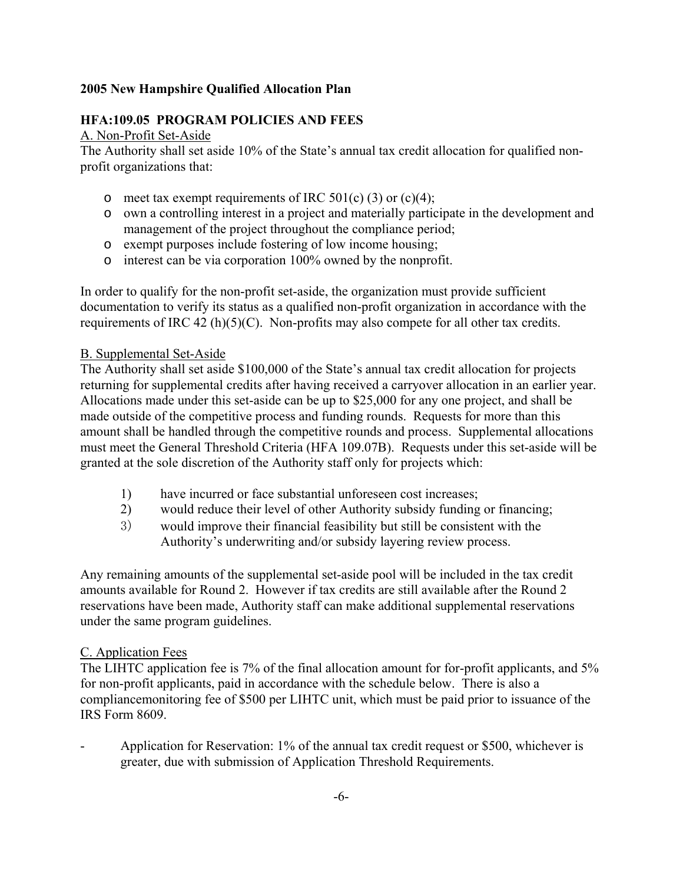#### **HFA:109.05 PROGRAM POLICIES AND FEES**

#### A. Non-Profit Set-Aside

The Authority shall set aside 10% of the State's annual tax credit allocation for qualified nonprofit organizations that:

- o meet tax exempt requirements of IRC  $501(c)$  (3) or (c)(4);
- o own a controlling interest in a project and materially participate in the development and management of the project throughout the compliance period;
- o exempt purposes include fostering of low income housing;
- o interest can be via corporation 100% owned by the nonprofit.

In order to qualify for the non-profit set-aside, the organization must provide sufficient documentation to verify its status as a qualified non-profit organization in accordance with the requirements of IRC 42 (h)(5)(C). Non-profits may also compete for all other tax credits.

#### B. Supplemental Set-Aside

The Authority shall set aside \$100,000 of the State's annual tax credit allocation for projects returning for supplemental credits after having received a carryover allocation in an earlier year. Allocations made under this set-aside can be up to \$25,000 for any one project, and shall be made outside of the competitive process and funding rounds. Requests for more than this amount shall be handled through the competitive rounds and process. Supplemental allocations must meet the General Threshold Criteria (HFA 109.07B). Requests under this set-aside will be granted at the sole discretion of the Authority staff only for projects which:

- 1) have incurred or face substantial unforeseen cost increases;
- 2) would reduce their level of other Authority subsidy funding or financing;
- 3) would improve their financial feasibility but still be consistent with the Authority's underwriting and/or subsidy layering review process.

Any remaining amounts of the supplemental set-aside pool will be included in the tax credit amounts available for Round 2. However if tax credits are still available after the Round 2 reservations have been made, Authority staff can make additional supplemental reservations under the same program guidelines.

#### C. Application Fees

The LIHTC application fee is 7% of the final allocation amount for for-profit applicants, and 5% for non-profit applicants, paid in accordance with the schedule below. There is also a compliancemonitoring fee of \$500 per LIHTC unit, which must be paid prior to issuance of the IRS Form 8609.

Application for Reservation: 1% of the annual tax credit request or \$500, whichever is greater, due with submission of Application Threshold Requirements.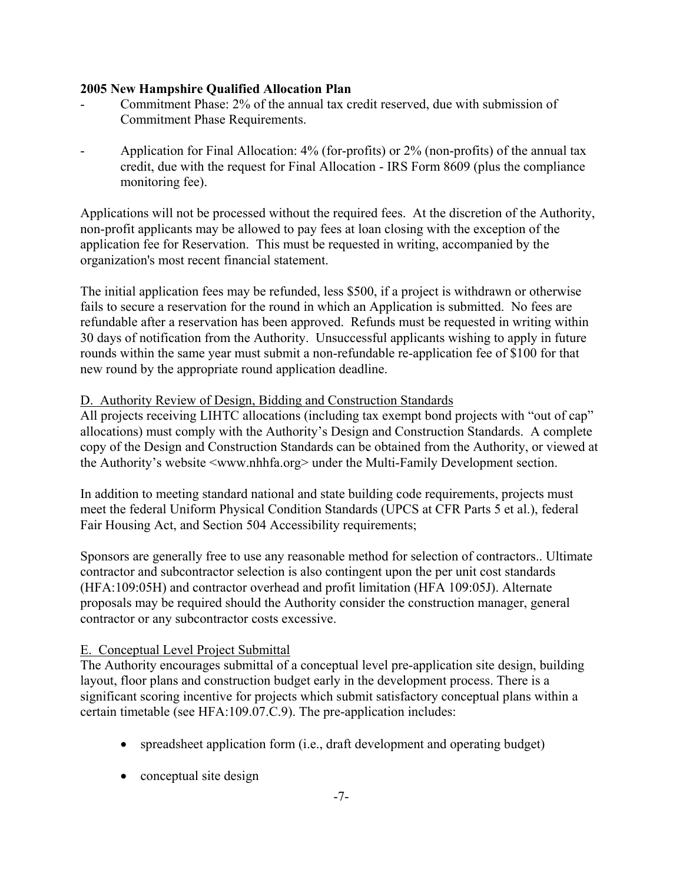- Commitment Phase: 2% of the annual tax credit reserved, due with submission of Commitment Phase Requirements.
- Application for Final Allocation: 4% (for-profits) or 2% (non-profits) of the annual tax credit, due with the request for Final Allocation - IRS Form 8609 (plus the compliance monitoring fee).

Applications will not be processed without the required fees. At the discretion of the Authority, non-profit applicants may be allowed to pay fees at loan closing with the exception of the application fee for Reservation. This must be requested in writing, accompanied by the organization's most recent financial statement.

The initial application fees may be refunded, less \$500, if a project is withdrawn or otherwise fails to secure a reservation for the round in which an Application is submitted. No fees are refundable after a reservation has been approved. Refunds must be requested in writing within 30 days of notification from the Authority. Unsuccessful applicants wishing to apply in future rounds within the same year must submit a non-refundable re-application fee of \$100 for that new round by the appropriate round application deadline.

#### D. Authority Review of Design, Bidding and Construction Standards

All projects receiving LIHTC allocations (including tax exempt bond projects with "out of cap" allocations) must comply with the Authority's Design and Construction Standards. A complete copy of the Design and Construction Standards can be obtained from the Authority, or viewed at the Authority's website <www.nhhfa.org> under the Multi-Family Development section.

In addition to meeting standard national and state building code requirements, projects must meet the federal Uniform Physical Condition Standards (UPCS at CFR Parts 5 et al.), federal Fair Housing Act, and Section 504 Accessibility requirements;

Sponsors are generally free to use any reasonable method for selection of contractors.. Ultimate contractor and subcontractor selection is also contingent upon the per unit cost standards (HFA:109:05H) and contractor overhead and profit limitation (HFA 109:05J). Alternate proposals may be required should the Authority consider the construction manager, general contractor or any subcontractor costs excessive.

#### E. Conceptual Level Project Submittal

The Authority encourages submittal of a conceptual level pre-application site design, building layout, floor plans and construction budget early in the development process. There is a significant scoring incentive for projects which submit satisfactory conceptual plans within a certain timetable (see HFA:109.07.C.9). The pre-application includes:

- spreadsheet application form (i.e., draft development and operating budget)
- conceptual site design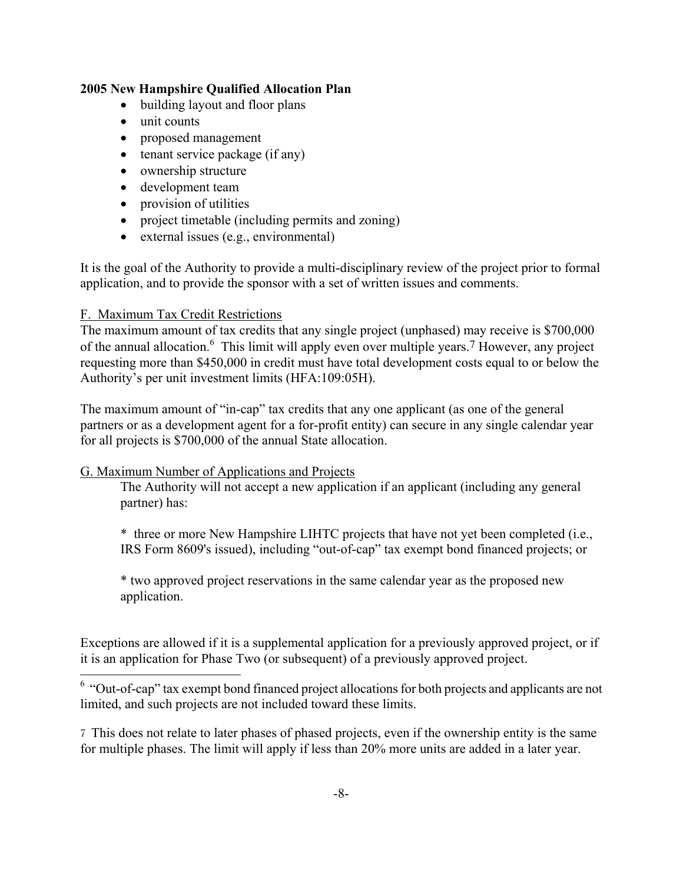- building layout and floor plans
- unit counts
- proposed management
- tenant service package (if any)
- ownership structure
- development team
- provision of utilities
- project timetable (including permits and zoning)
- external issues (e.g., environmental)

It is the goal of the Authority to provide a multi-disciplinary review of the project prior to formal application, and to provide the sponsor with a set of written issues and comments.

#### F. Maximum Tax Credit Restrictions

i.

The maximum amount of tax credits that any single project (unphased) may receive is \$700,000 of the annual allocation.<sup>6</sup> This limit will apply even over multiple years.<sup>7</sup> However, any project requesting more than \$450,000 in credit must have total development costs equal to or below the Authority's per unit investment limits (HFA:109:05H).

The maximum amount of "in-cap" tax credits that any one applicant (as one of the general partners or as a development agent for a for-profit entity) can secure in any single calendar year for all projects is \$700,000 of the annual State allocation.

#### G. Maximum Number of Applications and Projects

The Authority will not accept a new application if an applicant (including any general partner) has:

\* three or more New Hampshire LIHTC projects that have not yet been completed (i.e., IRS Form 8609's issued), including "out-of-cap" tax exempt bond financed projects; or

\* two approved project reservations in the same calendar year as the proposed new application.

Exceptions are allowed if it is a supplemental application for a previously approved project, or if it is an application for Phase Two (or subsequent) of a previously approved project.

<span id="page-11-0"></span> $6$  "Out-of-cap" tax exempt bond financed project allocations for both projects and applicants are not limited, and such projects are not included toward these limits.

<span id="page-11-1"></span>7 This does not relate to later phases of phased projects, even if the ownership entity is the same for multiple phases. The limit will apply if less than 20% more units are added in a later year.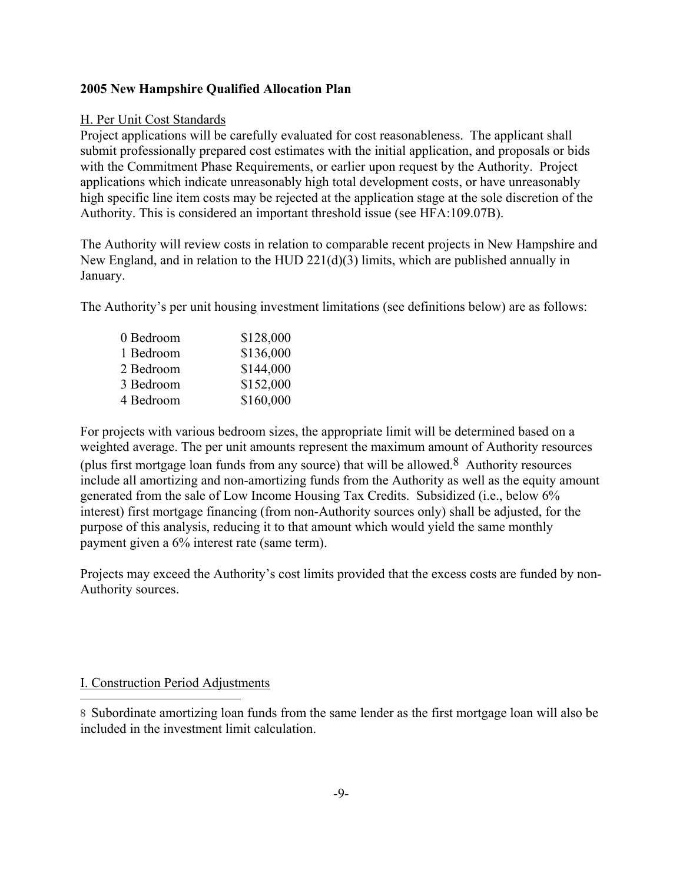#### H. Per Unit Cost Standards

Project applications will be carefully evaluated for cost reasonableness. The applicant shall submit professionally prepared cost estimates with the initial application, and proposals or bids with the Commitment Phase Requirements, or earlier upon request by the Authority. Project applications which indicate unreasonably high total development costs, or have unreasonably high specific line item costs may be rejected at the application stage at the sole discretion of the Authority. This is considered an important threshold issue (see HFA:109.07B).

The Authority will review costs in relation to comparable recent projects in New Hampshire and New England, and in relation to the HUD 221(d)(3) limits, which are published annually in January.

The Authority's per unit housing investment limitations (see definitions below) are as follows:

| 0 Bedroom | \$128,000 |
|-----------|-----------|
| 1 Bedroom | \$136,000 |
| 2 Bedroom | \$144,000 |
| 3 Bedroom | \$152,000 |
| 4 Bedroom | \$160,000 |

For projects with various bedroom sizes, the appropriate limit will be determined based on a weighted average. The per unit amounts represent the maximum amount of Authority resources (plus first mortgage loan funds from any source) that will be allowed.<sup>8</sup> Authority resources include all amortizing and non-amortizing funds from the Authority as well as the equity amount generated from the sale of Low Income Housing Tax Credits. Subsidized (i.e., below 6% interest) first mortgage financing (from non-Authority sources only) shall be adjusted, for the purpose of this analysis, reducing it to that amount which would yield the same monthly payment given a 6% interest rate (same term).

Projects may exceed the Authority's cost limits provided that the excess costs are funded by non-Authority sources.

#### I. Construction Period Adjustments

i.

<span id="page-12-0"></span>8 Subordinate amortizing loan funds from the same lender as the first mortgage loan will also be included in the investment limit calculation.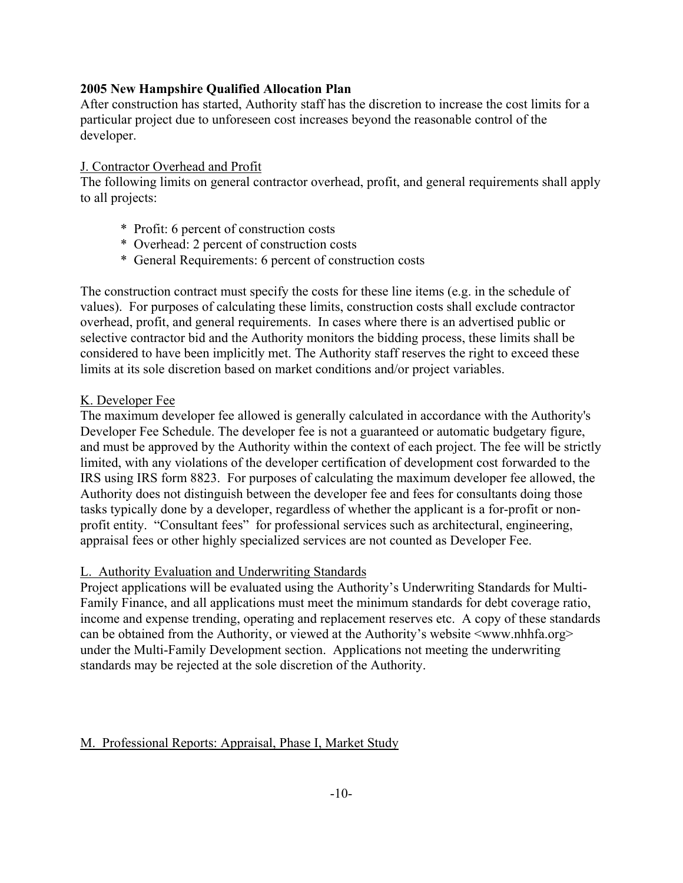After construction has started, Authority staff has the discretion to increase the cost limits for a particular project due to unforeseen cost increases beyond the reasonable control of the developer.

#### J. Contractor Overhead and Profit

The following limits on general contractor overhead, profit, and general requirements shall apply to all projects:

- \* Profit: 6 percent of construction costs
- \* Overhead: 2 percent of construction costs
- \* General Requirements: 6 percent of construction costs

The construction contract must specify the costs for these line items (e.g. in the schedule of values). For purposes of calculating these limits, construction costs shall exclude contractor overhead, profit, and general requirements. In cases where there is an advertised public or selective contractor bid and the Authority monitors the bidding process, these limits shall be considered to have been implicitly met. The Authority staff reserves the right to exceed these limits at its sole discretion based on market conditions and/or project variables.

#### K. Developer Fee

The maximum developer fee allowed is generally calculated in accordance with the Authority's Developer Fee Schedule. The developer fee is not a guaranteed or automatic budgetary figure, and must be approved by the Authority within the context of each project. The fee will be strictly limited, with any violations of the developer certification of development cost forwarded to the IRS using IRS form 8823. For purposes of calculating the maximum developer fee allowed, the Authority does not distinguish between the developer fee and fees for consultants doing those tasks typically done by a developer, regardless of whether the applicant is a for-profit or nonprofit entity. "Consultant fees" for professional services such as architectural, engineering, appraisal fees or other highly specialized services are not counted as Developer Fee.

#### L. Authority Evaluation and Underwriting Standards

Project applications will be evaluated using the Authority's Underwriting Standards for Multi-Family Finance, and all applications must meet the minimum standards for debt coverage ratio, income and expense trending, operating and replacement reserves etc. A copy of these standards can be obtained from the Authority, or viewed at the Authority's website  $\langle$ www.nhhfa.org $\rangle$ under the Multi-Family Development section. Applications not meeting the underwriting standards may be rejected at the sole discretion of the Authority.

#### M. Professional Reports: Appraisal, Phase I, Market Study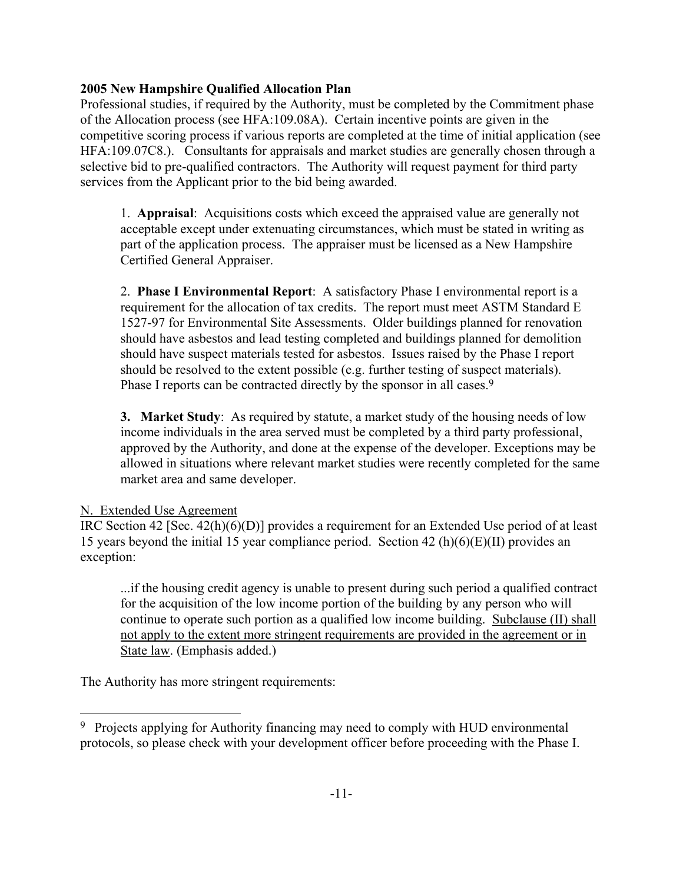Professional studies, if required by the Authority, must be completed by the Commitment phase of the Allocation process (see HFA:109.08A). Certain incentive points are given in the competitive scoring process if various reports are completed at the time of initial application (see HFA:109.07C8.). Consultants for appraisals and market studies are generally chosen through a selective bid to pre-qualified contractors. The Authority will request payment for third party services from the Applicant prior to the bid being awarded.

1. **Appraisal**: Acquisitions costs which exceed the appraised value are generally not acceptable except under extenuating circumstances, which must be stated in writing as part of the application process. The appraiser must be licensed as a New Hampshire Certified General Appraiser.

2. **Phase I Environmental Report**: A satisfactory Phase I environmental report is a requirement for the allocation of tax credits. The report must meet ASTM Standard E 1527-97 for Environmental Site Assessments. Older buildings planned for renovation should have asbestos and lead testing completed and buildings planned for demolition should have suspect materials tested for asbestos. Issues raised by the Phase I report should be resolved to the extent possible (e.g. further testing of suspect materials). Phase I reports can be contracted directly by the sponsor in all cases.<sup>9</sup>

**3. Market Study**: As required by statute, a market study of the housing needs of low income individuals in the area served must be completed by a third party professional, approved by the Authority, and done at the expense of the developer. Exceptions may be allowed in situations where relevant market studies were recently completed for the same market area and same developer.

#### N. Extended Use Agreement

i.

IRC Section 42 [Sec. 42(h)(6)(D)] provides a requirement for an Extended Use period of at least 15 years beyond the initial 15 year compliance period. Section 42 (h)(6)(E)(II) provides an exception:

...if the housing credit agency is unable to present during such period a qualified contract for the acquisition of the low income portion of the building by any person who will continue to operate such portion as a qualified low income building. Subclause (II) shall not apply to the extent more stringent requirements are provided in the agreement or in State law. (Emphasis added.)

The Authority has more stringent requirements:

<span id="page-14-0"></span><sup>&</sup>lt;sup>9</sup> Projects applying for Authority financing may need to comply with HUD environmental protocols, so please check with your development officer before proceeding with the Phase I.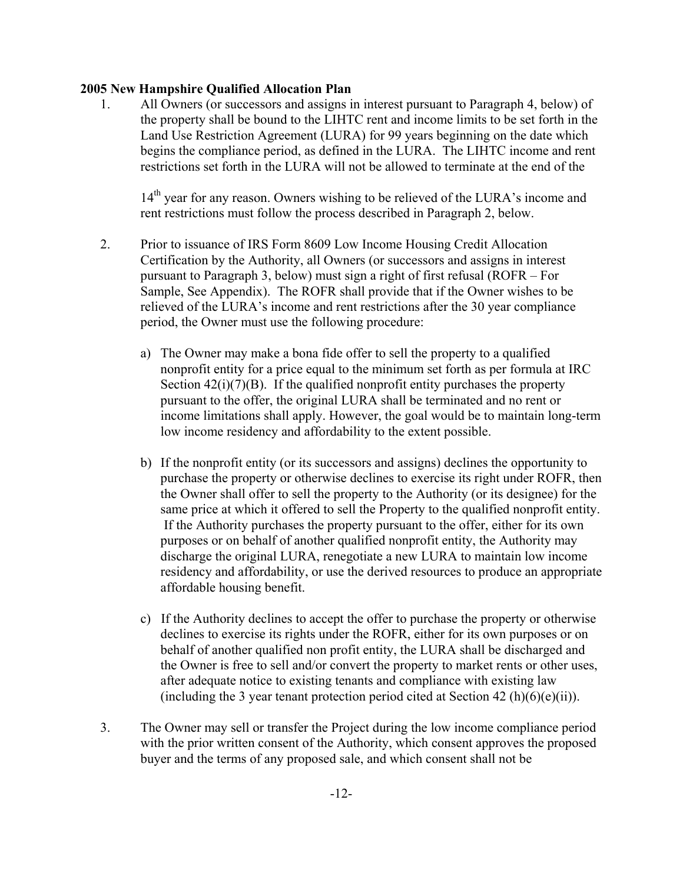1. All Owners (or successors and assigns in interest pursuant to Paragraph 4, below) of the property shall be bound to the LIHTC rent and income limits to be set forth in the Land Use Restriction Agreement (LURA) for 99 years beginning on the date which begins the compliance period, as defined in the LURA. The LIHTC income and rent restrictions set forth in the LURA will not be allowed to terminate at the end of the

14<sup>th</sup> year for any reason. Owners wishing to be relieved of the LURA's income and rent restrictions must follow the process described in Paragraph 2, below.

- 2. Prior to issuance of IRS Form 8609 Low Income Housing Credit Allocation Certification by the Authority, all Owners (or successors and assigns in interest pursuant to Paragraph 3, below) must sign a right of first refusal (ROFR – For Sample, See Appendix). The ROFR shall provide that if the Owner wishes to be relieved of the LURA's income and rent restrictions after the 30 year compliance period, the Owner must use the following procedure:
	- a) The Owner may make a bona fide offer to sell the property to a qualified nonprofit entity for a price equal to the minimum set forth as per formula at IRC Section  $42(i)(7)(B)$ . If the qualified nonprofit entity purchases the property pursuant to the offer, the original LURA shall be terminated and no rent or income limitations shall apply. However, the goal would be to maintain long-term low income residency and affordability to the extent possible.
	- b) If the nonprofit entity (or its successors and assigns) declines the opportunity to purchase the property or otherwise declines to exercise its right under ROFR, then the Owner shall offer to sell the property to the Authority (or its designee) for the same price at which it offered to sell the Property to the qualified nonprofit entity. If the Authority purchases the property pursuant to the offer, either for its own purposes or on behalf of another qualified nonprofit entity, the Authority may discharge the original LURA, renegotiate a new LURA to maintain low income residency and affordability, or use the derived resources to produce an appropriate affordable housing benefit.
	- c) If the Authority declines to accept the offer to purchase the property or otherwise declines to exercise its rights under the ROFR, either for its own purposes or on behalf of another qualified non profit entity, the LURA shall be discharged and the Owner is free to sell and/or convert the property to market rents or other uses, after adequate notice to existing tenants and compliance with existing law (including the 3 year tenant protection period cited at Section 42 (h)(6)(e)(ii)).
- 3. The Owner may sell or transfer the Project during the low income compliance period with the prior written consent of the Authority, which consent approves the proposed buyer and the terms of any proposed sale, and which consent shall not be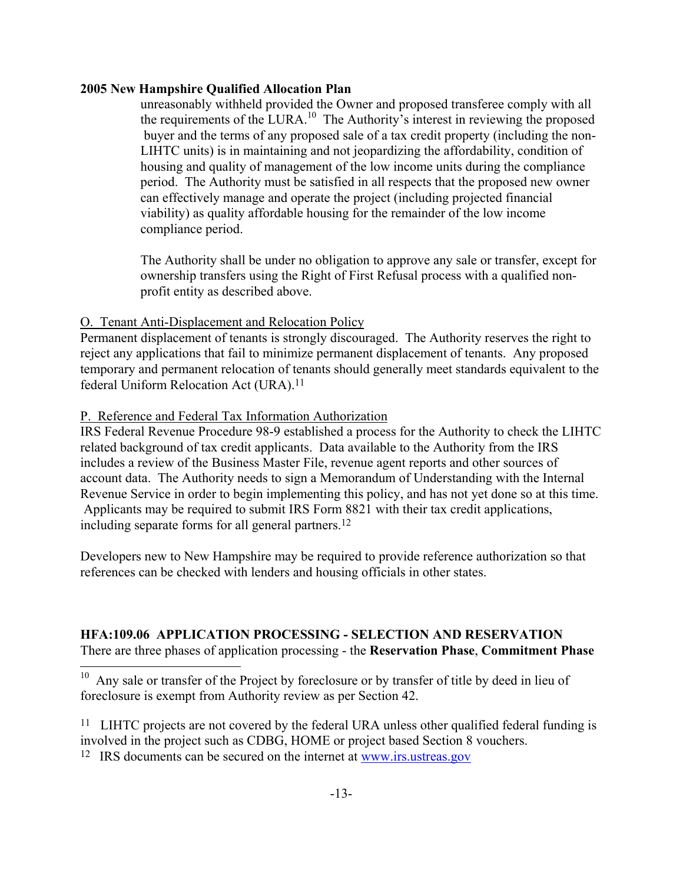unreasonably withheld provided the Owner and proposed transferee comply with all the requirements of the LURA.<sup>10</sup> The Authority's interest in reviewing the proposed buyer and the terms of any proposed sale of a tax credit property (including the non-LIHTC units) is in maintaining and not jeopardizing the affordability, condition of housing and quality of management of the low income units during the compliance period. The Authority must be satisfied in all respects that the proposed new owner can effectively manage and operate the project (including projected financial viability) as quality affordable housing for the remainder of the low income compliance period.

The Authority shall be under no obligation to approve any sale or transfer, except for ownership transfers using the Right of First Refusal process with a qualified nonprofit entity as described above.

#### O. Tenant Anti-Displacement and Relocation Policy

Permanent displacement of tenants is strongly discouraged. The Authority reserves the right to reject any applications that fail to minimize permanent displacement of tenants. Any proposed temporary and permanent relocation of tenants should generally meet standards equivalent to the federal Uniform Relocation Act (URA).<sup>11</sup>

#### P. Reference and Federal Tax Information Authorization

i.

IRS Federal Revenue Procedure 98-9 established a process for the Authority to check the LIHTC related background of tax credit applicants. Data available to the Authority from the IRS includes a review of the Business Master File, revenue agent reports and other sources of account data. The Authority needs to sign a Memorandum of Understanding with the Internal Revenue Service in order to begin implementing this policy, and has not yet done so at this time. Applicants may be required to submit IRS Form 8821 with their tax credit applications, including separate forms for all general partners[.12](#page-16-2) 

Developers new to New Hampshire may be required to provide reference authorization so that references can be checked with lenders and housing officials in other states.

## **HFA:109.06 APPLICATION PROCESSING - SELECTION AND RESERVATION** There are three phases of application processing - the **Reservation Phase**, **Commitment Phase**

<span id="page-16-0"></span><sup>10</sup> Any sale or transfer of the Project by foreclosure or by transfer of title by deed in lieu of foreclosure is exempt from Authority review as per Section 42.

<span id="page-16-1"></span><sup>11</sup> LIHTC projects are not covered by the federal URA unless other qualified federal funding is involved in the project such as CDBG, HOME or project based Section 8 vouchers.

<span id="page-16-2"></span>12 IRS documents can be secured on the internet at www.irs.ustreas.gov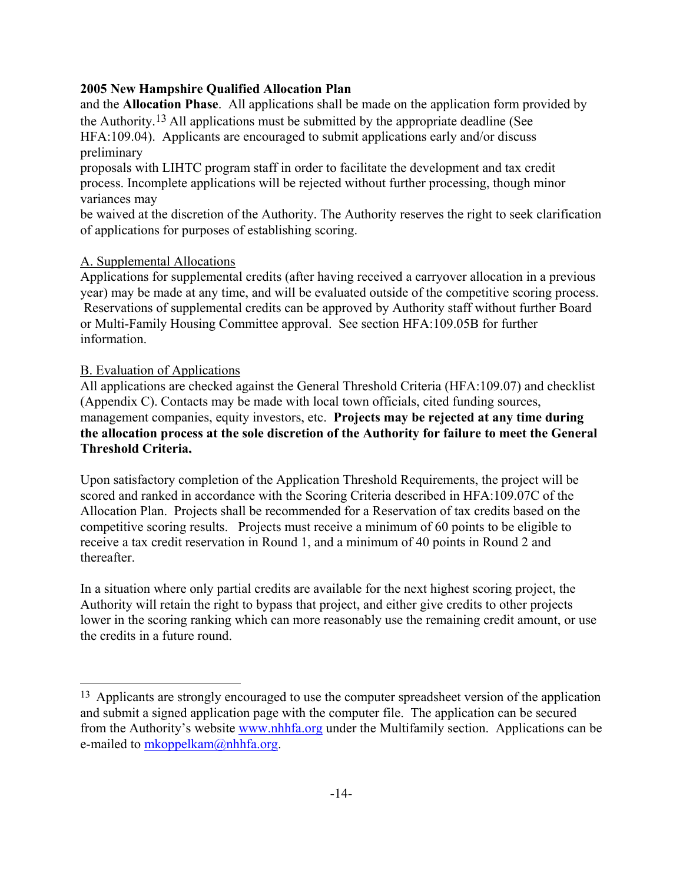and the **Allocation Phase**. All applications shall be made on the application form provided by the Authority[.13](#page-17-0) All applications must be submitted by the appropriate deadline (See HFA:109.04). Applicants are encouraged to submit applications early and/or discuss preliminary

proposals with LIHTC program staff in order to facilitate the development and tax credit process. Incomplete applications will be rejected without further processing, though minor variances may

be waived at the discretion of the Authority. The Authority reserves the right to seek clarification of applications for purposes of establishing scoring.

## A. Supplemental Allocations

Applications for supplemental credits (after having received a carryover allocation in a previous year) may be made at any time, and will be evaluated outside of the competitive scoring process. Reservations of supplemental credits can be approved by Authority staff without further Board or Multi-Family Housing Committee approval. See section HFA:109.05B for further information.

## B. Evaluation of Applications

j.

All applications are checked against the General Threshold Criteria (HFA:109.07) and checklist (Appendix C). Contacts may be made with local town officials, cited funding sources, management companies, equity investors, etc. **Projects may be rejected at any time during the allocation process at the sole discretion of the Authority for failure to meet the General Threshold Criteria.**

Upon satisfactory completion of the Application Threshold Requirements, the project will be scored and ranked in accordance with the Scoring Criteria described in HFA:109.07C of the Allocation Plan. Projects shall be recommended for a Reservation of tax credits based on the competitive scoring results. Projects must receive a minimum of 60 points to be eligible to receive a tax credit reservation in Round 1, and a minimum of 40 points in Round 2 and thereafter.

In a situation where only partial credits are available for the next highest scoring project, the Authority will retain the right to bypass that project, and either give credits to other projects lower in the scoring ranking which can more reasonably use the remaining credit amount, or use the credits in a future round.

<span id="page-17-0"></span><sup>&</sup>lt;sup>13</sup> Applicants are strongly encouraged to use the computer spreadsheet version of the application and submit a signed application page with the computer file. The application can be secured from the Authority's website [www.nhhfa.org](http://www.nhhfa.org/) under the Multifamily section. Applications can be e-mailed to [mkoppelkam@nhhfa.org](mailto:mkoppelkam@nhhfa.org).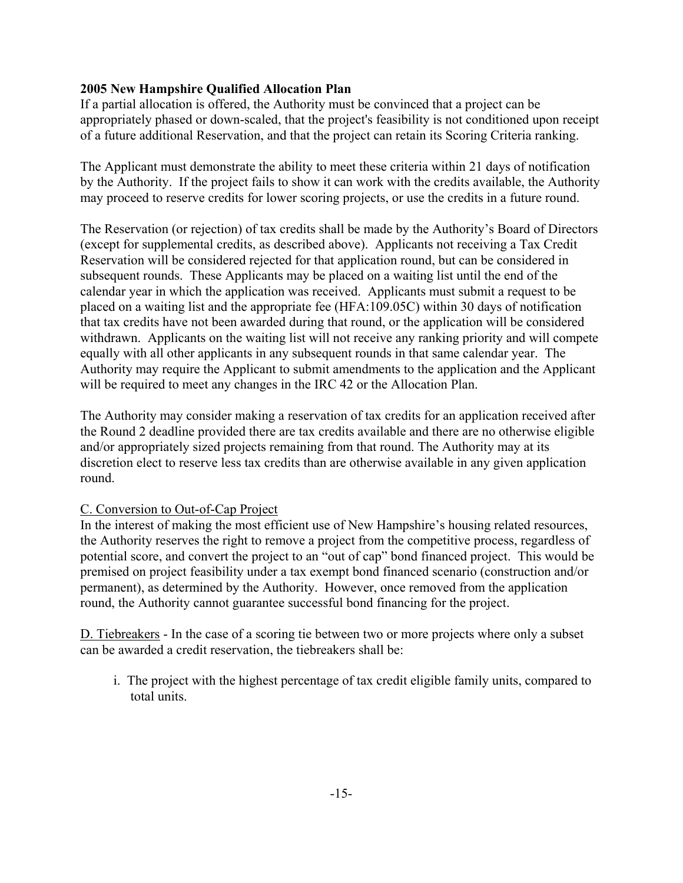If a partial allocation is offered, the Authority must be convinced that a project can be appropriately phased or down-scaled, that the project's feasibility is not conditioned upon receipt of a future additional Reservation, and that the project can retain its Scoring Criteria ranking.

The Applicant must demonstrate the ability to meet these criteria within 21 days of notification by the Authority. If the project fails to show it can work with the credits available, the Authority may proceed to reserve credits for lower scoring projects, or use the credits in a future round.

The Reservation (or rejection) of tax credits shall be made by the Authority's Board of Directors (except for supplemental credits, as described above). Applicants not receiving a Tax Credit Reservation will be considered rejected for that application round, but can be considered in subsequent rounds. These Applicants may be placed on a waiting list until the end of the calendar year in which the application was received. Applicants must submit a request to be placed on a waiting list and the appropriate fee (HFA:109.05C) within 30 days of notification that tax credits have not been awarded during that round, or the application will be considered withdrawn. Applicants on the waiting list will not receive any ranking priority and will compete equally with all other applicants in any subsequent rounds in that same calendar year. The Authority may require the Applicant to submit amendments to the application and the Applicant will be required to meet any changes in the IRC 42 or the Allocation Plan.

The Authority may consider making a reservation of tax credits for an application received after the Round 2 deadline provided there are tax credits available and there are no otherwise eligible and/or appropriately sized projects remaining from that round. The Authority may at its discretion elect to reserve less tax credits than are otherwise available in any given application round.

## C. Conversion to Out-of-Cap Project

In the interest of making the most efficient use of New Hampshire's housing related resources, the Authority reserves the right to remove a project from the competitive process, regardless of potential score, and convert the project to an "out of cap" bond financed project. This would be premised on project feasibility under a tax exempt bond financed scenario (construction and/or permanent), as determined by the Authority. However, once removed from the application round, the Authority cannot guarantee successful bond financing for the project.

D. Tiebreakers - In the case of a scoring tie between two or more projects where only a subset can be awarded a credit reservation, the tiebreakers shall be:

i. The project with the highest percentage of tax credit eligible family units, compared to total units.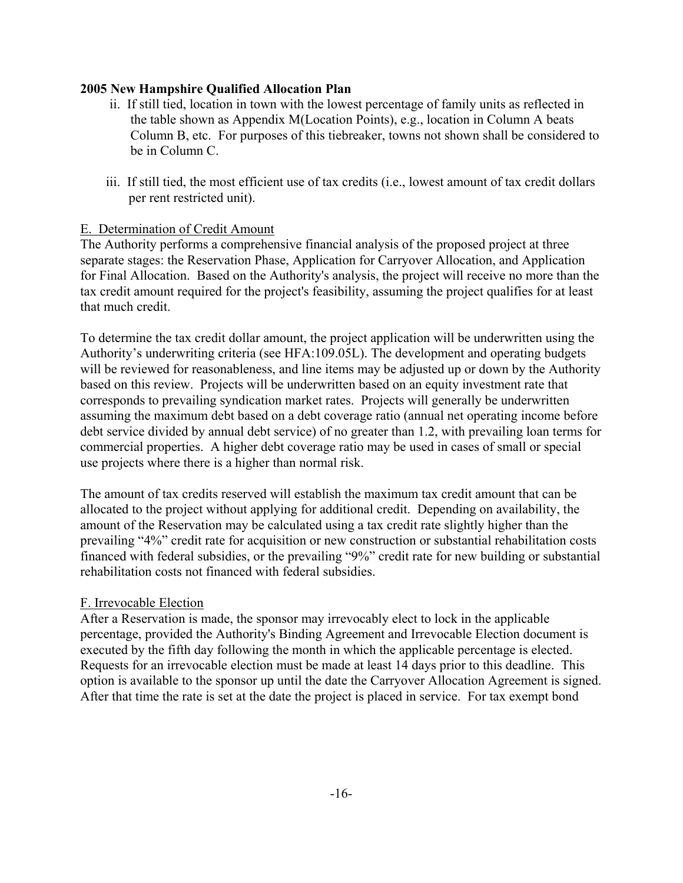- ii. If still tied, location in town with the lowest percentage of family units as reflected in the table shown as Appendix M(Location Points), e.g., location in Column A beats Column B, etc. For purposes of this tiebreaker, towns not shown shall be considered to be in Column C.
- iii. If still tied, the most efficient use of tax credits (i.e., lowest amount of tax credit dollars per rent restricted unit).

#### E. Determination of Credit Amount

The Authority performs a comprehensive financial analysis of the proposed project at three separate stages: the Reservation Phase, Application for Carryover Allocation, and Application for Final Allocation. Based on the Authority's analysis, the project will receive no more than the tax credit amount required for the project's feasibility, assuming the project qualifies for at least that much credit.

To determine the tax credit dollar amount, the project application will be underwritten using the Authority's underwriting criteria (see HFA:109.05L). The development and operating budgets will be reviewed for reasonableness, and line items may be adjusted up or down by the Authority based on this review. Projects will be underwritten based on an equity investment rate that corresponds to prevailing syndication market rates. Projects will generally be underwritten assuming the maximum debt based on a debt coverage ratio (annual net operating income before debt service divided by annual debt service) of no greater than 1.2, with prevailing loan terms for commercial properties. A higher debt coverage ratio may be used in cases of small or special use projects where there is a higher than normal risk.

The amount of tax credits reserved will establish the maximum tax credit amount that can be allocated to the project without applying for additional credit. Depending on availability, the amount of the Reservation may be calculated using a tax credit rate slightly higher than the prevailing "4%" credit rate for acquisition or new construction or substantial rehabilitation costs financed with federal subsidies, or the prevailing "9%" credit rate for new building or substantial rehabilitation costs not financed with federal subsidies.

#### F. Irrevocable Election

After a Reservation is made, the sponsor may irrevocably elect to lock in the applicable percentage, provided the Authority's Binding Agreement and Irrevocable Election document is executed by the fifth day following the month in which the applicable percentage is elected. Requests for an irrevocable election must be made at least 14 days prior to this deadline. This option is available to the sponsor up until the date the Carryover Allocation Agreement is signed. After that time the rate is set at the date the project is placed in service. For tax exempt bond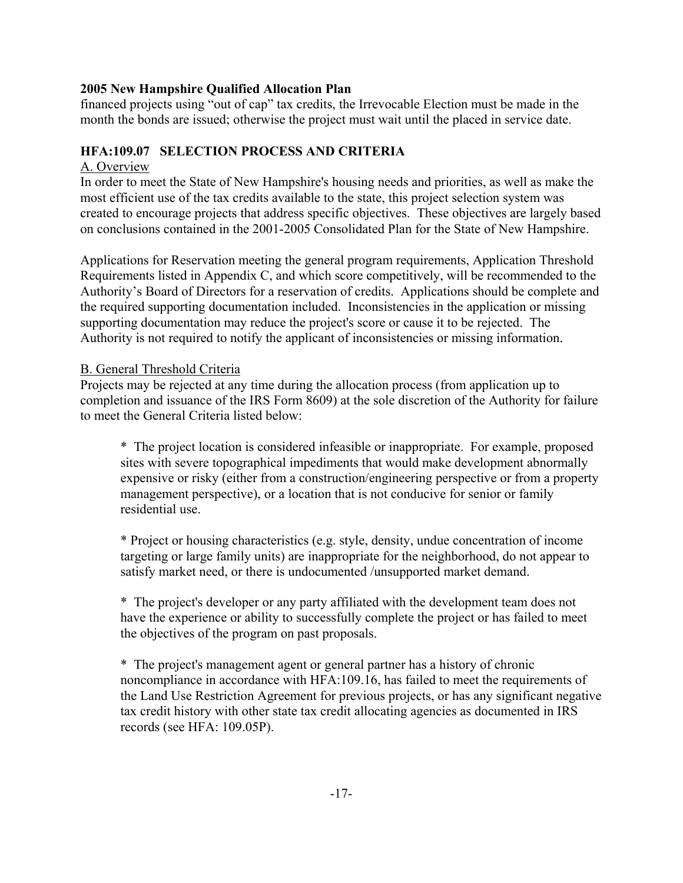financed projects using "out of cap" tax credits, the Irrevocable Election must be made in the month the bonds are issued; otherwise the project must wait until the placed in service date.

## **HFA:109.07 SELECTION PROCESS AND CRITERIA**

#### A. Overview

In order to meet the State of New Hampshire's housing needs and priorities, as well as make the most efficient use of the tax credits available to the state, this project selection system was created to encourage projects that address specific objectives. These objectives are largely based on conclusions contained in the 2001-2005 Consolidated Plan for the State of New Hampshire.

Applications for Reservation meeting the general program requirements, Application Threshold Requirements listed in Appendix C, and which score competitively, will be recommended to the Authority's Board of Directors for a reservation of credits. Applications should be complete and the required supporting documentation included. Inconsistencies in the application or missing supporting documentation may reduce the project's score or cause it to be rejected. The Authority is not required to notify the applicant of inconsistencies or missing information.

#### B. General Threshold Criteria

Projects may be rejected at any time during the allocation process (from application up to completion and issuance of the IRS Form 8609) at the sole discretion of the Authority for failure to meet the General Criteria listed below:

\* The project location is considered infeasible or inappropriate. For example, proposed sites with severe topographical impediments that would make development abnormally expensive or risky (either from a construction/engineering perspective or from a property management perspective), or a location that is not conducive for senior or family residential use.

\* Project or housing characteristics (e.g. style, density, undue concentration of income targeting or large family units) are inappropriate for the neighborhood, do not appear to satisfy market need, or there is undocumented /unsupported market demand.

\* The project's developer or any party affiliated with the development team does not have the experience or ability to successfully complete the project or has failed to meet the objectives of the program on past proposals.

\* The project's management agent or general partner has a history of chronic noncompliance in accordance with HFA:109.16, has failed to meet the requirements of the Land Use Restriction Agreement for previous projects, or has any significant negative tax credit history with other state tax credit allocating agencies as documented in IRS records (see HFA: 109.05P).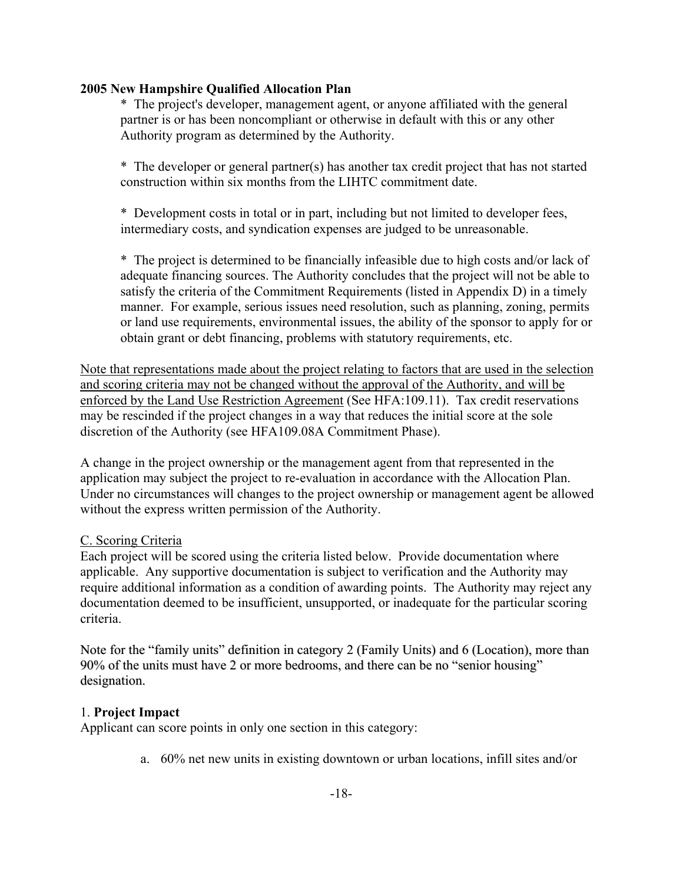\* The project's developer, management agent, or anyone affiliated with the general partner is or has been noncompliant or otherwise in default with this or any other Authority program as determined by the Authority.

\* The developer or general partner(s) has another tax credit project that has not started construction within six months from the LIHTC commitment date.

\* Development costs in total or in part, including but not limited to developer fees, intermediary costs, and syndication expenses are judged to be unreasonable.

\* The project is determined to be financially infeasible due to high costs and/or lack of adequate financing sources. The Authority concludes that the project will not be able to satisfy the criteria of the Commitment Requirements (listed in Appendix D) in a timely manner. For example, serious issues need resolution, such as planning, zoning, permits or land use requirements, environmental issues, the ability of the sponsor to apply for or obtain grant or debt financing, problems with statutory requirements, etc.

Note that representations made about the project relating to factors that are used in the selection and scoring criteria may not be changed without the approval of the Authority, and will be enforced by the Land Use Restriction Agreement (See HFA:109.11). Tax credit reservations may be rescinded if the project changes in a way that reduces the initial score at the sole discretion of the Authority (see HFA109.08A Commitment Phase).

A change in the project ownership or the management agent from that represented in the application may subject the project to re-evaluation in accordance with the Allocation Plan. Under no circumstances will changes to the project ownership or management agent be allowed without the express written permission of the Authority.

#### C. Scoring Criteria

Each project will be scored using the criteria listed below. Provide documentation where applicable. Any supportive documentation is subject to verification and the Authority may require additional information as a condition of awarding points. The Authority may reject any documentation deemed to be insufficient, unsupported, or inadequate for the particular scoring criteria.

Note for the "family units" definition in category 2 (Family Units) and 6 (Location), more than 90% of the units must have 2 or more bedrooms, and there can be no "senior housing" designation.

#### 1. **Project Impact**

Applicant can score points in only one section in this category:

a. 60% net new units in existing downtown or urban locations, infill sites and/or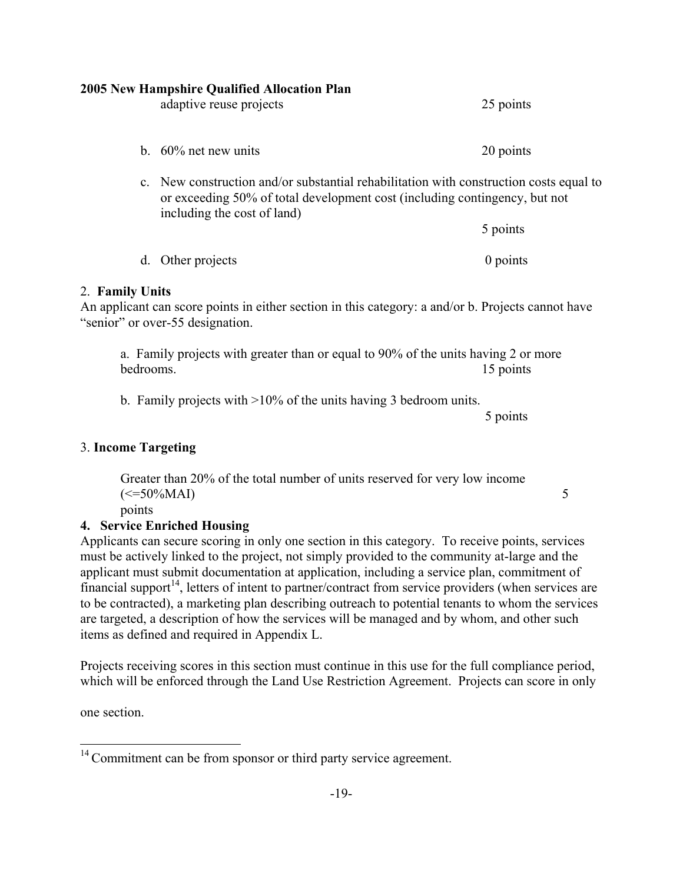|                     | <b>2005 New Hampshire Qualified Allocation Plan</b><br>adaptive reuse projects                                                                                                                      | 25 points  |
|---------------------|-----------------------------------------------------------------------------------------------------------------------------------------------------------------------------------------------------|------------|
|                     | b. $60\%$ net new units                                                                                                                                                                             | 20 points  |
|                     | c. New construction and/or substantial rehabilitation with construction costs equal to<br>or exceeding 50% of total development cost (including contingency, but not<br>including the cost of land) |            |
|                     |                                                                                                                                                                                                     | 5 points   |
|                     | d. Other projects                                                                                                                                                                                   | $0$ points |
| 2. Family Units     | An applicant can score points in either section in this category: a and/or b. Projects cannot have<br>"senior" or over-55 designation.                                                              |            |
| bedrooms.           | a. Family projects with greater than or equal to 90% of the units having 2 or more                                                                                                                  | 15 points  |
|                     | b. Family projects with $>10\%$ of the units having 3 bedroom units.                                                                                                                                | 5 points   |
| 3. Income Targeting |                                                                                                                                                                                                     |            |
| points              | Greater than 20% of the total number of units reserved for very low income<br>$\left(\le=50\%MAI\right)$                                                                                            | 5          |
|                     | 4. Service Enriched Housing                                                                                                                                                                         |            |
|                     | Applicants can secure scoring in only one section in this category. To receive points, services                                                                                                     |            |

must be actively linked to the project, not simply provided to the community at-large and the applicant must submit documentation at application, including a service plan, commitment of financial support<sup>14</sup>, letters of intent to partner/contract from service providers (when services are to be contracted), a marketing plan describing outreach to potential tenants to whom the services are targeted, a description of how the services will be managed and by whom, and other such items as defined and required in Appendix L.

Projects receiving scores in this section must continue in this use for the full compliance period, which will be enforced through the Land Use Restriction Agreement. Projects can score in only

one section.

i.

<span id="page-22-0"></span> $14$  Commitment can be from sponsor or third party service agreement.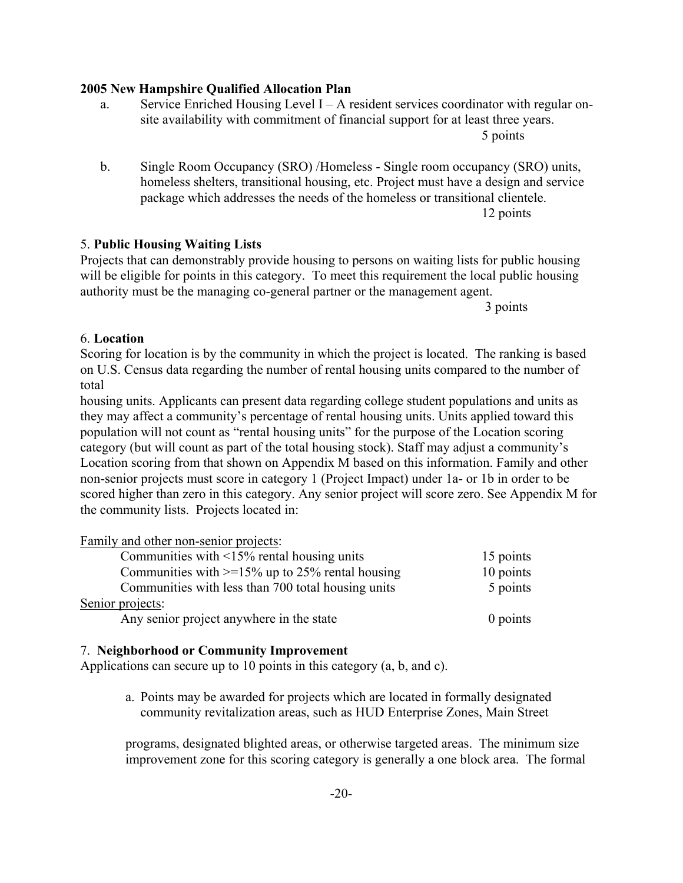a. Service Enriched Housing Level I – A resident services coordinator with regular onsite availability with commitment of financial support for at least three years.

5 points

b. Single Room Occupancy (SRO) /Homeless - Single room occupancy (SRO) units, homeless shelters, transitional housing, etc. Project must have a design and service package which addresses the needs of the homeless or transitional clientele. 12 points

#### 5. **Public Housing Waiting Lists**

Projects that can demonstrably provide housing to persons on waiting lists for public housing will be eligible for points in this category. To meet this requirement the local public housing authority must be the managing co-general partner or the management agent.

3 points

#### 6. **Location**

Scoring for location is by the community in which the project is located. The ranking is based on U.S. Census data regarding the number of rental housing units compared to the number of total

housing units. Applicants can present data regarding college student populations and units as they may affect a community's percentage of rental housing units. Units applied toward this population will not count as "rental housing units" for the purpose of the Location scoring category (but will count as part of the total housing stock). Staff may adjust a community's Location scoring from that shown on Appendix M based on this information. Family and other non-senior projects must score in category 1 (Project Impact) under 1a- or 1b in order to be scored higher than zero in this category. Any senior project will score zero. See Appendix M for the community lists. Projects located in:

| Family and other non-senior projects:              |           |
|----------------------------------------------------|-----------|
| Communities with $\leq$ 15% rental housing units   | 15 points |
| Communities with $>=15\%$ up to 25% rental housing | 10 points |
| Communities with less than 700 total housing units | 5 points  |
| Senior projects:                                   |           |
| Any senior project anywhere in the state           | 0 points  |

#### 7. **Neighborhood or Community Improvement**

Applications can secure up to 10 points in this category (a, b, and c).

a. Points may be awarded for projects which are located in formally designated community revitalization areas, such as HUD Enterprise Zones, Main Street

programs, designated blighted areas, or otherwise targeted areas. The minimum size improvement zone for this scoring category is generally a one block area. The formal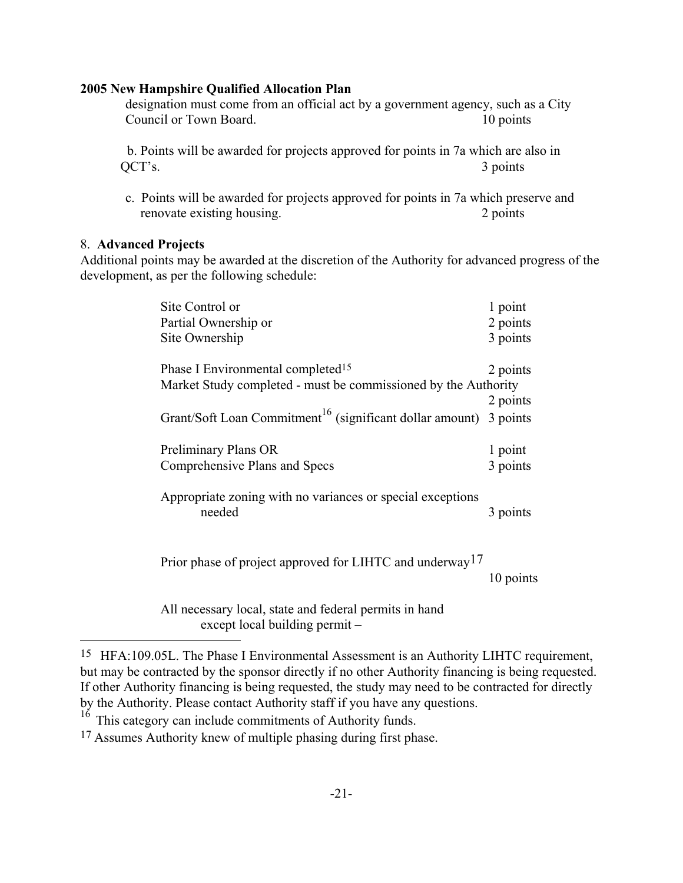designation must come from an official act by a government agency, such as a City Council or Town Board. 10 points

 b. Points will be awarded for projects approved for points in 7a which are also in QCT's. 3 points

c. Points will be awarded for projects approved for points in 7a which preserve and renovate existing housing. 2 points

#### 8. **Advanced Projects**

i.

Additional points may be awarded at the discretion of the Authority for advanced progress of the development, as per the following schedule:

| Site Control or<br>Partial Ownership or<br>Site Ownership                                                                                                                                        | 1 point<br>2 points<br>3 points |
|--------------------------------------------------------------------------------------------------------------------------------------------------------------------------------------------------|---------------------------------|
| Phase I Environmental completed <sup>15</sup><br>Market Study completed - must be commissioned by the Authority<br>Grant/Soft Loan Commitment <sup>16</sup> (significant dollar amount) 3 points | 2 points<br>2 points            |
| Preliminary Plans OR<br>Comprehensive Plans and Specs                                                                                                                                            | 1 point<br>3 points             |
| Appropriate zoning with no variances or special exceptions<br>needed                                                                                                                             | 3 points                        |
| Prior phase of project approved for LIHTC and underway <sup>17</sup>                                                                                                                             | 10 points                       |

All necessary local, state and federal permits in hand except local building permit –

<span id="page-24-0"></span><sup>15</sup> HFA:109.05L. The Phase I Environmental Assessment is an Authority LIHTC requirement, but may be contracted by the sponsor directly if no other Authority financing is being requested. If other Authority financing is being requested, the study may need to be contracted for directly by the Authority. Please contact Authority staff if you have any questions.

<span id="page-24-1"></span> $16$  This category can include commitments of Authority funds.

<span id="page-24-2"></span><sup>17</sup> Assumes Authority knew of multiple phasing during first phase.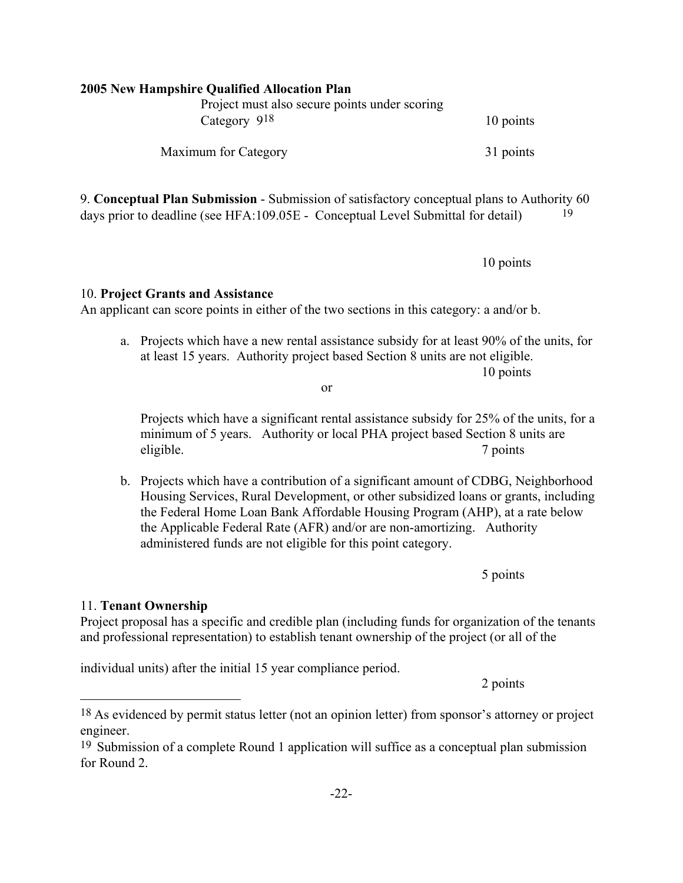# **2005 New Hampshire Qualified Allocation Plan**  Project must also secure points under scoring  $Category \, 9^{18}$  10 points Maximum for Category 31 points

9. **Conceptual Plan Submission** - Submission of satisfactory conceptual plans to Authority 60 days prior to deadline (see HFA:109.05E - Conceptual Level Submittal for detail) [19](#page-25-1)

10 points

10. **Project Grants and Assistance** 

An applicant can score points in either of the two sections in this category: a and/or b.

a. Projects which have a new rental assistance subsidy for at least 90% of the units, for at least 15 years. Authority project based Section 8 units are not eligible.

10 points

Projects which have a significant rental assistance subsidy for 25% of the units, for a minimum of 5 years. Authority or local PHA project based Section 8 units are eligible. 7 points

b. Projects which have a contribution of a significant amount of CDBG, Neighborhood Housing Services, Rural Development, or other subsidized loans or grants, including the Federal Home Loan Bank Affordable Housing Program (AHP), at a rate below the Applicable Federal Rate (AFR) and/or are non-amortizing. Authority administered funds are not eligible for this point category.

5 points

## 11. **Tenant Ownership**

i.

Project proposal has a specific and credible plan (including funds for organization of the tenants and professional representation) to establish tenant ownership of the project (or all of the

individual units) after the initial 15 year compliance period.

2 points

or

<span id="page-25-0"></span><sup>18</sup> As evidenced by permit status letter (not an opinion letter) from sponsor's attorney or project engineer.

<span id="page-25-1"></span><sup>19</sup> Submission of a complete Round 1 application will suffice as a conceptual plan submission for Round 2.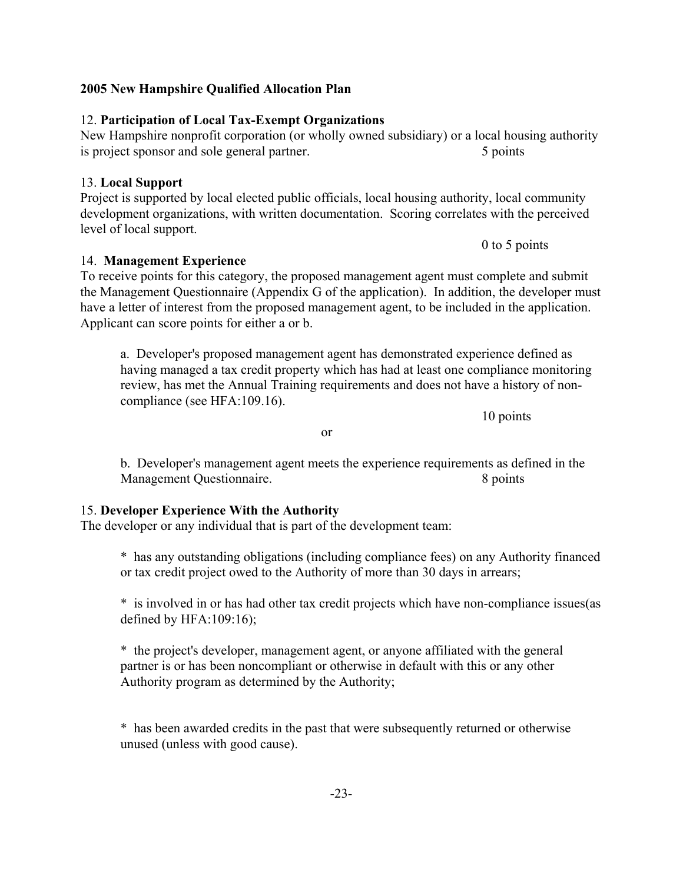#### 12. **Participation of Local Tax-Exempt Organizations**

# New Hampshire nonprofit corporation (or wholly owned subsidiary) or a local housing authority

is project sponsor and sole general partner. 5 points

# 13. **Local Support**

## Project is supported by local elected public officials, local housing authority, local community development organizations, with written documentation. Scoring correlates with the perceived level of local support.

14. **Management Experience** To receive points for this category, the proposed management agent must complete and submit the Management Questionnaire (Appendix G of the application). In addition, the developer must have a letter of interest from the proposed management agent, to be included in the application. Applicant can score points for either a or b.

a. Developer's proposed management agent has demonstrated experience defined as having managed a tax credit property which has had at least one compliance monitoring review, has met the Annual Training requirements and does not have a history of noncompliance (see HFA:109.16).

10 points

b. Developer's management agent meets the experience requirements as defined in the Management Questionnaire. 8 points

#### 15. **Developer Experience With the Authority**

or

The developer or any individual that is part of the development team:

\* has any outstanding obligations (including compliance fees) on any Authority financed or tax credit project owed to the Authority of more than 30 days in arrears;

\* is involved in or has had other tax credit projects which have non-compliance issues(as defined by HFA:109:16);

\* the project's developer, management agent, or anyone affiliated with the general partner is or has been noncompliant or otherwise in default with this or any other Authority program as determined by the Authority;

\* has been awarded credits in the past that were subsequently returned or otherwise unused (unless with good cause).

0 to 5 points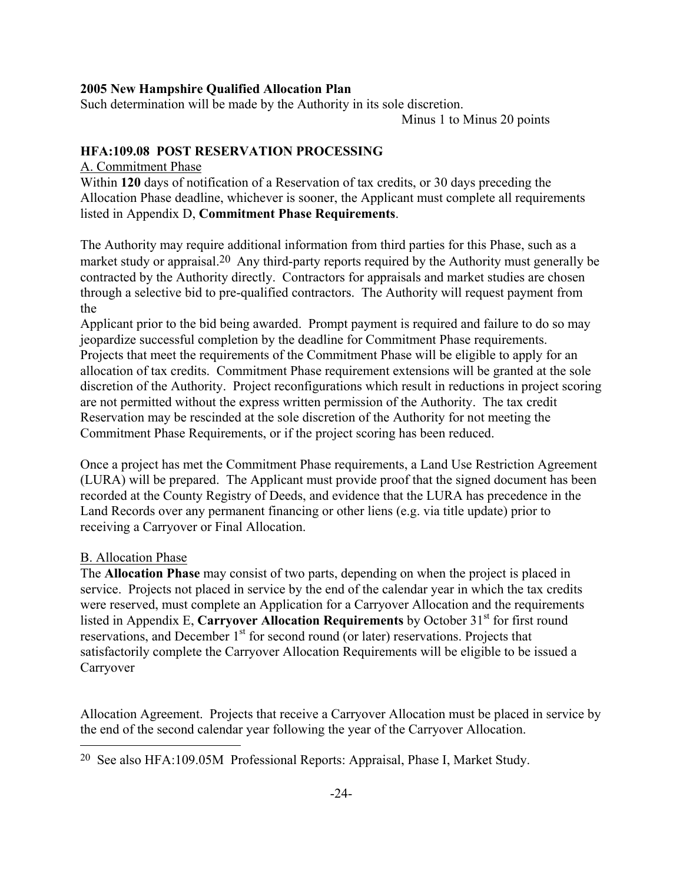Such determination will be made by the Authority in its sole discretion.

Minus 1 to Minus 20 points

## **HFA:109.08 POST RESERVATION PROCESSING**

#### A. Commitment Phase

Within **120** days of notification of a Reservation of tax credits, or 30 days preceding the Allocation Phase deadline, whichever is sooner, the Applicant must complete all requirements listed in Appendix D, **Commitment Phase Requirements**.

The Authority may require additional information from third parties for this Phase, such as a market study or appraisal.<sup>[20](#page-27-0)</sup> Any third-party reports required by the Authority must generally be contracted by the Authority directly. Contractors for appraisals and market studies are chosen through a selective bid to pre-qualified contractors. The Authority will request payment from the

Applicant prior to the bid being awarded. Prompt payment is required and failure to do so may jeopardize successful completion by the deadline for Commitment Phase requirements. Projects that meet the requirements of the Commitment Phase will be eligible to apply for an allocation of tax credits. Commitment Phase requirement extensions will be granted at the sole discretion of the Authority. Project reconfigurations which result in reductions in project scoring are not permitted without the express written permission of the Authority. The tax credit Reservation may be rescinded at the sole discretion of the Authority for not meeting the Commitment Phase Requirements, or if the project scoring has been reduced.

Once a project has met the Commitment Phase requirements, a Land Use Restriction Agreement (LURA) will be prepared. The Applicant must provide proof that the signed document has been recorded at the County Registry of Deeds, and evidence that the LURA has precedence in the Land Records over any permanent financing or other liens (e.g. via title update) prior to receiving a Carryover or Final Allocation.

#### B. Allocation Phase

L,

The **Allocation Phase** may consist of two parts, depending on when the project is placed in service. Projects not placed in service by the end of the calendar year in which the tax credits were reserved, must complete an Application for a Carryover Allocation and the requirements listed in Appendix E, **Carryover Allocation Requirements** by October 31<sup>st</sup> for first round reservations, and December 1<sup>st</sup> for second round (or later) reservations. Projects that satisfactorily complete the Carryover Allocation Requirements will be eligible to be issued a Carryover

Allocation Agreement. Projects that receive a Carryover Allocation must be placed in service by the end of the second calendar year following the year of the Carryover Allocation.

<span id="page-27-0"></span><sup>20</sup> See also HFA:109.05M Professional Reports: Appraisal, Phase I, Market Study.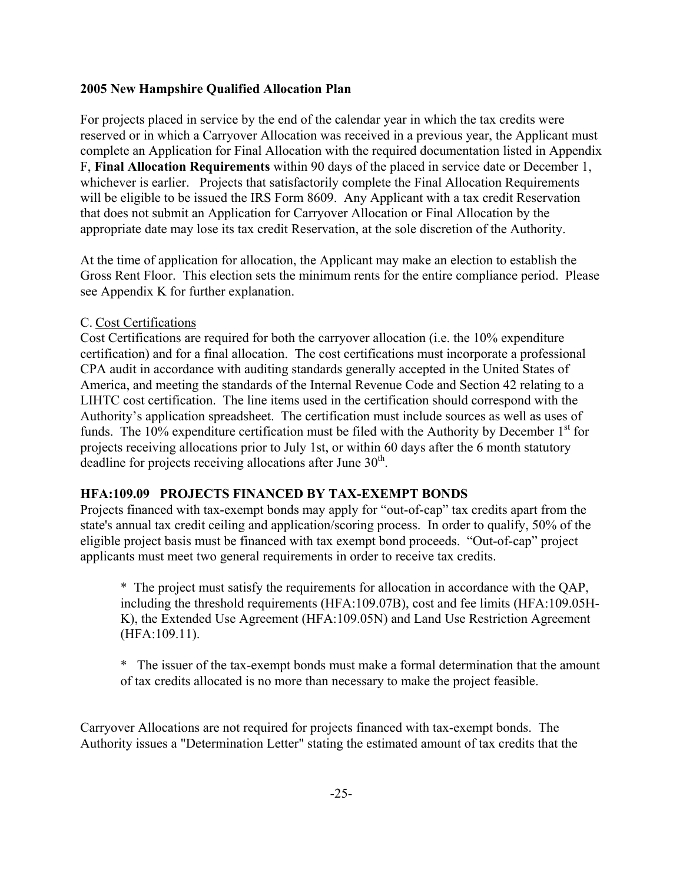For projects placed in service by the end of the calendar year in which the tax credits were reserved or in which a Carryover Allocation was received in a previous year, the Applicant must complete an Application for Final Allocation with the required documentation listed in Appendix F, **Final Allocation Requirements** within 90 days of the placed in service date or December 1, whichever is earlier. Projects that satisfactorily complete the Final Allocation Requirements will be eligible to be issued the IRS Form 8609. Any Applicant with a tax credit Reservation that does not submit an Application for Carryover Allocation or Final Allocation by the appropriate date may lose its tax credit Reservation, at the sole discretion of the Authority.

At the time of application for allocation, the Applicant may make an election to establish the Gross Rent Floor. This election sets the minimum rents for the entire compliance period. Please see Appendix K for further explanation.

#### C. Cost Certifications

Cost Certifications are required for both the carryover allocation (i.e. the 10% expenditure certification) and for a final allocation. The cost certifications must incorporate a professional CPA audit in accordance with auditing standards generally accepted in the United States of America, and meeting the standards of the Internal Revenue Code and Section 42 relating to a LIHTC cost certification. The line items used in the certification should correspond with the Authority's application spreadsheet. The certification must include sources as well as uses of funds. The  $10\%$  expenditure certification must be filed with the Authority by December  $1<sup>st</sup>$  for projects receiving allocations prior to July 1st, or within 60 days after the 6 month statutory deadline for projects receiving allocations after June  $30<sup>th</sup>$ .

#### **HFA:109.09 PROJECTS FINANCED BY TAX-EXEMPT BONDS**

Projects financed with tax-exempt bonds may apply for "out-of-cap" tax credits apart from the state's annual tax credit ceiling and application/scoring process. In order to qualify, 50% of the eligible project basis must be financed with tax exempt bond proceeds. "Out-of-cap" project applicants must meet two general requirements in order to receive tax credits.

\* The project must satisfy the requirements for allocation in accordance with the QAP, including the threshold requirements (HFA:109.07B), cost and fee limits (HFA:109.05H-K), the Extended Use Agreement (HFA:109.05N) and Land Use Restriction Agreement (HFA:109.11).

\* The issuer of the tax-exempt bonds must make a formal determination that the amount of tax credits allocated is no more than necessary to make the project feasible.

Carryover Allocations are not required for projects financed with tax-exempt bonds. The Authority issues a "Determination Letter" stating the estimated amount of tax credits that the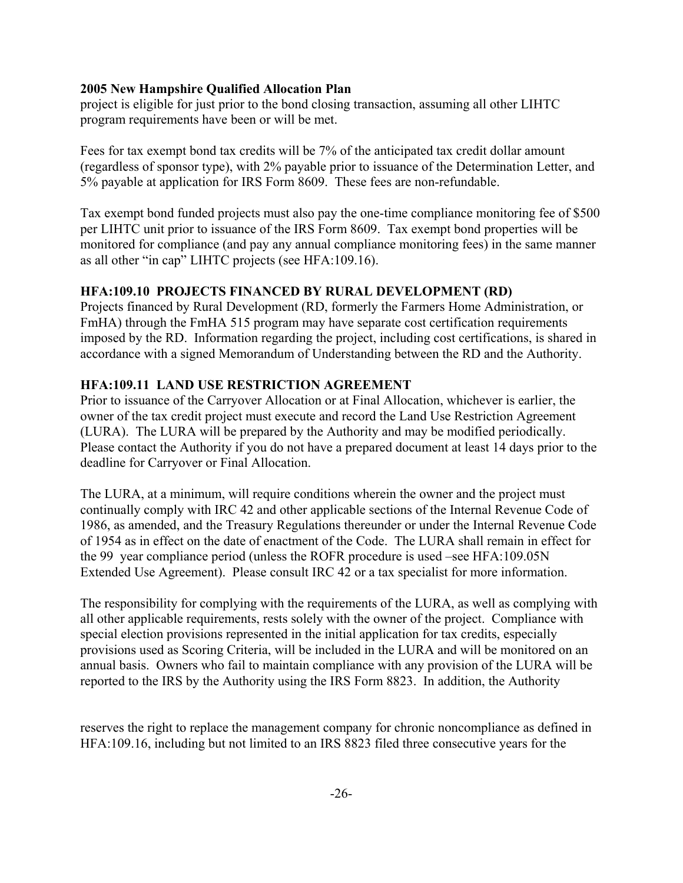project is eligible for just prior to the bond closing transaction, assuming all other LIHTC program requirements have been or will be met.

Fees for tax exempt bond tax credits will be 7% of the anticipated tax credit dollar amount (regardless of sponsor type), with 2% payable prior to issuance of the Determination Letter, and 5% payable at application for IRS Form 8609. These fees are non-refundable.

Tax exempt bond funded projects must also pay the one-time compliance monitoring fee of \$500 per LIHTC unit prior to issuance of the IRS Form 8609. Tax exempt bond properties will be monitored for compliance (and pay any annual compliance monitoring fees) in the same manner as all other "in cap" LIHTC projects (see HFA:109.16).

## **HFA:109.10 PROJECTS FINANCED BY RURAL DEVELOPMENT (RD)**

Projects financed by Rural Development (RD, formerly the Farmers Home Administration, or FmHA) through the FmHA 515 program may have separate cost certification requirements imposed by the RD. Information regarding the project, including cost certifications, is shared in accordance with a signed Memorandum of Understanding between the RD and the Authority.

#### **HFA:109.11 LAND USE RESTRICTION AGREEMENT**

Prior to issuance of the Carryover Allocation or at Final Allocation, whichever is earlier, the owner of the tax credit project must execute and record the Land Use Restriction Agreement (LURA). The LURA will be prepared by the Authority and may be modified periodically. Please contact the Authority if you do not have a prepared document at least 14 days prior to the deadline for Carryover or Final Allocation.

The LURA, at a minimum, will require conditions wherein the owner and the project must continually comply with IRC 42 and other applicable sections of the Internal Revenue Code of 1986, as amended, and the Treasury Regulations thereunder or under the Internal Revenue Code of 1954 as in effect on the date of enactment of the Code. The LURA shall remain in effect for the 99 year compliance period (unless the ROFR procedure is used –see HFA:109.05N Extended Use Agreement). Please consult IRC 42 or a tax specialist for more information.

The responsibility for complying with the requirements of the LURA, as well as complying with all other applicable requirements, rests solely with the owner of the project. Compliance with special election provisions represented in the initial application for tax credits, especially provisions used as Scoring Criteria, will be included in the LURA and will be monitored on an annual basis. Owners who fail to maintain compliance with any provision of the LURA will be reported to the IRS by the Authority using the IRS Form 8823. In addition, the Authority

reserves the right to replace the management company for chronic noncompliance as defined in HFA:109.16, including but not limited to an IRS 8823 filed three consecutive years for the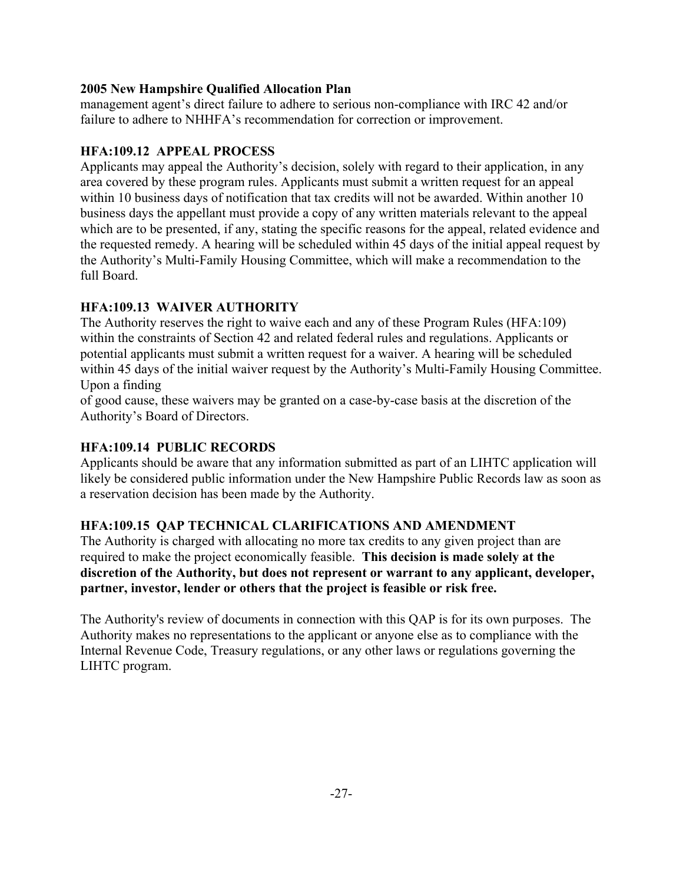management agent's direct failure to adhere to serious non-compliance with IRC 42 and/or failure to adhere to NHHFA's recommendation for correction or improvement.

## **HFA:109.12 APPEAL PROCESS**

Applicants may appeal the Authority's decision, solely with regard to their application, in any area covered by these program rules. Applicants must submit a written request for an appeal within 10 business days of notification that tax credits will not be awarded. Within another 10 business days the appellant must provide a copy of any written materials relevant to the appeal which are to be presented, if any, stating the specific reasons for the appeal, related evidence and the requested remedy. A hearing will be scheduled within 45 days of the initial appeal request by the Authority's Multi-Family Housing Committee, which will make a recommendation to the full Board.

# **HFA:109.13 WAIVER AUTHORITY**

The Authority reserves the right to waive each and any of these Program Rules (HFA:109) within the constraints of Section 42 and related federal rules and regulations. Applicants or potential applicants must submit a written request for a waiver. A hearing will be scheduled within 45 days of the initial waiver request by the Authority's Multi-Family Housing Committee. Upon a finding

of good cause, these waivers may be granted on a case-by-case basis at the discretion of the Authority's Board of Directors.

## **HFA:109.14 PUBLIC RECORDS**

Applicants should be aware that any information submitted as part of an LIHTC application will likely be considered public information under the New Hampshire Public Records law as soon as a reservation decision has been made by the Authority.

# **HFA:109.15 QAP TECHNICAL CLARIFICATIONS AND AMENDMENT**

The Authority is charged with allocating no more tax credits to any given project than are required to make the project economically feasible. **This decision is made solely at the discretion of the Authority, but does not represent or warrant to any applicant, developer, partner, investor, lender or others that the project is feasible or risk free.**

The Authority's review of documents in connection with this QAP is for its own purposes. The Authority makes no representations to the applicant or anyone else as to compliance with the Internal Revenue Code, Treasury regulations, or any other laws or regulations governing the LIHTC program.